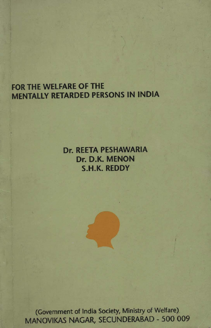# FOR THE WELFARE OF THE MENTALLY RETARDED PERSONS IN INDIA

# Dr. REETA PESHAWARIA Dr. D.K. MENON S.H.K. REDDY

(Government of India Society, Ministry of Welfare). MANOVIKAS NAGAR, SECUNDERABAD - 500 009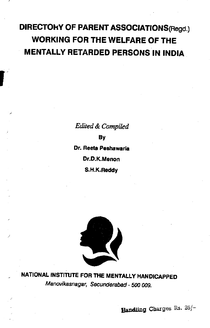# DIRECTOkY OF PARENT ASSOCIATIONS(Hegd.) WORKING FOR THE WELFARE OF THE MENTALLY RETARDED PERSONS IN INDIA

Edited & Compiled By Dr. Reeta Peshawaria Dr.D.K.Menon S.H.K.Reddy



NATIONAL INSTITUTE FOR ThE MENTALLY HANDICAPPED Manovikasnagar, Secunderabad - 500 009.

Handling Charges Rs. 25/-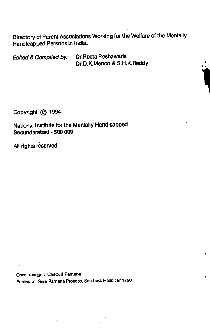Directory of Parent Associations Working for the Welfare of the Mentally Handicapped Persons in India.

Edited & Complied by: Dr. Reeta Peshawarla Dr.D.K.Menon & S.H.K.Reddy

Copyright (C) 1994

National Institute for the Mentally Handicapped Secunderabad - 500 009.

All rights reserved

Cover design: Chepuri Ramana Printed at: Stee Ramana Process, Sec-bad. Hello: 811750.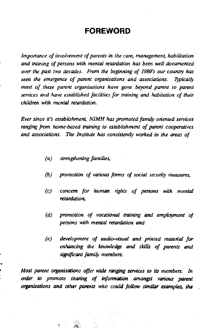## FOREWORD

importance of involvement of parents in the care, management, habilitation and training of persons with mental retardation has been well documented over the past two decades. From the beginning of 1980's our country has seen the emergence of parent organisations and associations. Typically most of these parent organisations have gone. beyond parent to parent services and have established facilities for training and habitation of their children with mental retardation.

Ever since it's establishment, NIMH has promoted family onented services ranging from home-based training to establishment of parent cooperatives and associations. The Institute has consistently worked in the areas of

- (a) strengthening families,
- (b) promotion of various forms of social security measures,
- (c) concern for human rights of persons with mental retardation,
- (d) promotion of vocational training and employment of persons with mental retardation and
- (e) development of audio-visual and printed material for enhancing the knowledge and skills of parents and significant family members.

Most parent organisations offer wide ranging services to its members. In order to promote sharing of infonnation amongst various parent organisations and other parents who could follow similar examples, the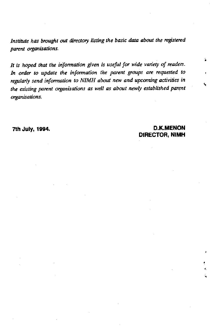Institute has brought out directory listing the basic data about the registered parent organisations.

It is hoped that the information given is useful for wide variety of readers. In order to update the information the parent groups are requested to regularly send information to NIMH about new and upcoming activities in the existing parent organisations as well as about newly established parent organ isations.

7th July 1994. D.K.MENON DIRECTOR, NIMH

4

à.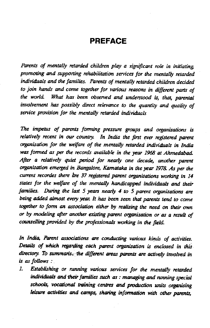## PREFACE

Parents of mentally retarded children play a significant role in initiating, promoting and supporting rehabilitation services for the mentally retarded individuals and the families. Parents of mentally retarded children decided to join hands and come together for various reasons in different parts of the world. What has been observed and understood is, that, parental involvement has possibly direct relevance to the quantity and quality of service provision for the mentally retarded individuals

The impetus of parents forming pressure groups and organisations is relatively recent in our country. In India the first ever registered parent o'ganisation for the welfare of the mentally retarded individuals in India was formed as per the records available in the year 1968 at Ahmedabad. After a relatively quiet period for nearly one decade, another parent organisation emerged in Bangalore, Karnataka in the year 1978. As per the current recordes there are 37 registered parent organisations working in 14 states for the welfare of the mentally handicapped individuals and their families. During the last 5 years nearly 4 to 5 parent organisations are being added almost every year. It has been seen that parents tend to come together to form an association either by realising the need on their own or by modeling after another existing parent organisation or as a result of counselling provided by the professionals working in the field.

In India, Parent associations are conducting various kinds of activities. Details of which regarding each parent organisation is enclosed in this. directory. To summarise the different areas parents are actively involved in is as follows:

1. Establishing or running various services for the mentally retarded individuals and their families such as : managing and running special schools, vocational training centres and production units organising leisure activities and camps, sharing information with other parents,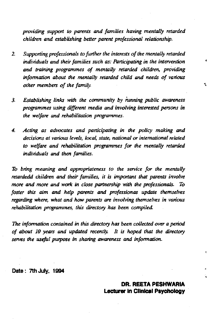providing support to parents and families having mentally retarded children and establishing better parent professional relationship.

- 2. Supporting professionals to further the interests of the mentally retarded individuals and their families such as: Participating in the intervention and training programmes of mentally retarded children, providing information about the mentally retarded child and needs of various other members of the family.
- 3. Establishing links with the community by hinning public awareness programmes using different media and involving interested persons in the welfare and rehabilitation programmes.
- 4. Acting as advocates and participating in the policy making and decisions at various levels, local, state, national or international related to welfare and rehabilitation programmes for the mentally retarded individuals and then families.

To bring meaning and appropriateness to the service for the mentally retardedd children and their families, it is important that parents involve more and more and work in close partnership with the professionals. To foster this aim and help parents and professionas update themselves regarding where, what and how parents are involving themselves in various rehabilitation programmes, this directory has been compiled.

The information contained in this directory has been collected over a period of about 10 years and updated recently. It is hoped that the directory serves the useful purpose in sharing awareness and information.

Date: 7th July, 1994

OR. REETA PESHWARIA Lecturer in Clinical Psychology ÷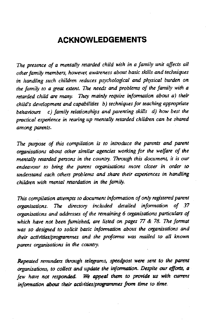## ACKNOWLEDGEMENTS

The presence of a mentally retarded child with in a family unit affects all other family members, however awdreness about basic skills and techniques in handling such children reduces psychological and physical burden on the family to a great extent. The needs and problems of the family with a retarded child are many. They mainly require information about a) their child's development and capabilities b) techniques for teaching appropriate behaviours c) family relationships and parenting skills d) how best the practical experience in rearing up mentally retarded children can be shared among parents.

The purpose of this compilation is to introduce the parents and parent organisations about other similar agencies working for the welfare of the mentally retarded persons in the country. Through this document, it is our endeavour to bring the parent organisations more closer in order to understand each, others problems and share their experiences in handling children with mental retardation in the family.

This compilation attempts to document information of only registered parent organisations. The directory included detailed information of 37 organisations and addresses of the remaining 6 organisations particulars of which have not been furnished, are listed on pages  $77 \& 78$ . The format was so designed to solicit basic information about the organisations and their activities/programmes and the profonna was mailed to all known parent organisations in the country.

Repeated reminders through telegrams, speedpost were sent to the parent organisations, to collect and update the information. Despite our efforts, a few have not responded. We appeal them to provide us with current information about their activities/programmes from time to time.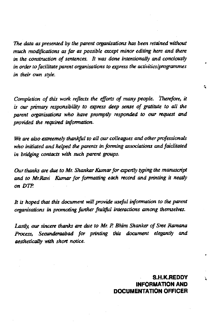The data as presented by the parent organisations has been retained without much modifications as far as possible except minor editing here and there in the construction of sentences. It was done intentionally and conciously in order to facilitate parent organisations to express the activities/programmes in their own style.

Completion of this work reflects the effons of many people. Therefore, it is our primary responsibility to express deep sense of grutitute to all the parent organisations who have promptly responded to our request and provided the required information.

We are also extreemely thankful to all our colleagues and other professionals who initiated and helped the parents in forming associations and faiclitated in bridging contacts with such parent groups.

Our thanks are due to Mr. Shankar Kumar for expertly typing the manuscript and to Mr.Ravi Kumar for formatting each record and printing it neatly on DTP.

It is hoped that this document will provide useful information to the parent organisations in promoting further fruitful interactions among themselves.

Lastly, our sincere thanks are due to Mr. P. Bhim Shanker of Sree Ramana Process, Secunderaabad for printing this document elegantly and aesthetically with short notice.

> S.H.K.REDDV INFORMATION AND DOCUMENTATiON OFFICER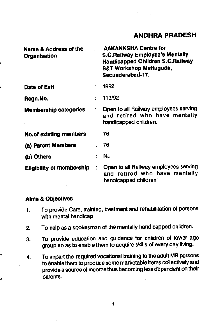| <b>Name &amp; Address of the</b><br>Organisation |                | <b>AAKANKSHA Centre for</b><br><b>S.C.Railway Employee's Mentally</b><br><b>Handicapped Children S.C.Railway</b><br>S&T Workshop Mettuguda,<br>Secunderabad-17. |
|--------------------------------------------------|----------------|-----------------------------------------------------------------------------------------------------------------------------------------------------------------|
| Date of Estt                                     |                | 1992                                                                                                                                                            |
| Regn.No.                                         |                | 113/92                                                                                                                                                          |
| <b>Membership categories</b>                     |                | Open to all Railway employees serving<br>and retired who have mentally<br>handicapped children.                                                                 |
| <b>No.of existing members</b>                    |                | - 76                                                                                                                                                            |
| (a) Parent Members                               |                | 76                                                                                                                                                              |
| (b) Others                                       |                | ∴ Nil                                                                                                                                                           |
| <b>Eligibility of membership</b>                 | $\ddot{\cdot}$ | Open to all Railway employees serving<br>and retired who have mentally<br>handicapped children                                                                  |

## Alms & Obiectives

Ł

- 1. To provide Care, training, treatment and rehabilitation of persons with mental handicap
- 2. To help as a spokesman of the mentally handicapped children.
- 3. To provide education and guidance for children of lower age group so as to enable them to acquire skills of every day living.
- 4. To impart the required vocational training to the adult MR persons to enable them to produce some marketable items collectively and provide a source of income thus becoming less dependent on their parents.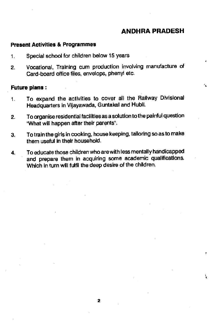4

#### Present Activities & Programmes

- 1. Special school for children below 15 years
- 2. Vocational, Training cum production involving manufacture of Card-board office files, envelops, phenyl etc.

#### Future plans:

- 1. To expand the activities to cover all the Railway Divisional Headquarters in Vijayawada, Guntakal and Hubli.
- 2. To organise residential facilities as a solution to the painful question 'What will happen after their parents".
- 3. To train the girls in cooking, house keeping, tailoring so as to make them useful in their household.
- 4. To educate those children who are with less mentally handicapped and prepare them in acquiring some academic qualifications. Which in turn will fulfil the deep desire of the children.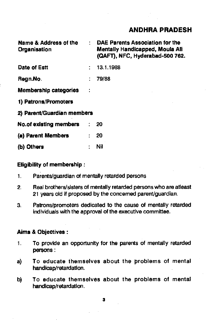| Name & Address of the<br>Organisation | $\mathcal{L}^{\text{max}}$ | DAE Parents Association for the<br><b>Mentally Handicapped, Moula Ali</b><br>(QAFT), NFC, Hyderabad-500 762. |
|---------------------------------------|----------------------------|--------------------------------------------------------------------------------------------------------------|
| Date of Estt                          |                            | 13.1.1988                                                                                                    |
| Regn.No.                              |                            | 79/88                                                                                                        |
| <b>Membership categories</b>          |                            |                                                                                                              |
| 1) Patrons/Promoters                  |                            |                                                                                                              |
| 2) Parent/Guardian members            |                            |                                                                                                              |
| <b>No.of existing members</b>         |                            | 20                                                                                                           |
| (a) Parent Members                    | ÷                          | 20                                                                                                           |
| (b) Others                            |                            | Nil                                                                                                          |

#### Eligibility of membership:

- 1. Parents/guardian of mentally retarded persons
- 2. Real brothers/sisters of mentally retarded persons who are atleast 21 years old if proposed by the concerned parent/guardian.
- 3. Pattons/promoters dedicated to the cause of mentally retarded individuals with the approval of the executive committee.

## Aims & Objectives:

- 1. To provide an opportunity for the parents of mentally retarded persons:
- a) To educate themselves about the problems of mental handicap/retardation.
- b) To educate themselves about the problems of mental handicap/retardation.

3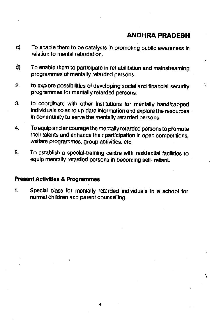Å.

- c) To enable them to be catalysts in promoting public awareness in relation to mental retardation.
- 0) To enable them to participate in rehabilitation and mainstreaming programmes of mentally retarded persons.
- 2. to explore possibilities of developing social and financial security programmes for mentally retarded persons.
- 3. to coordinate with other Institutions for mentally handicapped individuals so as to up-date information and explore the resources in community to serve the mentally retarded persons.
- 4. To equip and encourage the mentally retarded persons to promote their talents and enhance their participation in open competitions, welfare programmes, group activities, etc.
- 5. To establish a special-training centre with residential facilities to equip mentally retarded persons in becoming self- reliant.

#### Present Activities & Programmes

1. SpecIal class for mentally retarded individuals In a school for normal children and parent counselling.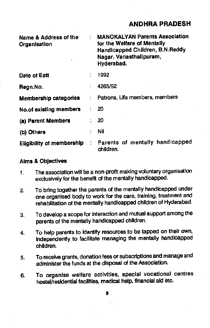| Name & Address of the<br>Organisation | ÷ | <b>MANOKALYAN Parents Association</b><br>for the Welfare of Mentally<br>Handicapped Children, B.N.Reddy<br>Nagar, Vanasthalipuram,<br>Hyderabad. |
|---------------------------------------|---|--------------------------------------------------------------------------------------------------------------------------------------------------|
| Date of Estt                          | ÷ | 1992                                                                                                                                             |
| Regn.No.                              |   | 4265/92                                                                                                                                          |
| <b>Membership categories</b>          |   | Patrons, Life members, members                                                                                                                   |
| No.of existing members                |   | 20                                                                                                                                               |
| (a) Parent Members                    |   | 20                                                                                                                                               |
| (b) Others                            |   | Nil                                                                                                                                              |
| <b>Eligibility of membership</b>      | ÷ | Parents of mentally handicapped<br>children.                                                                                                     |

#### Aims & Objectives

- 1. The association will be a non-profit making voluntary organisatlon exclusively for the benefit of the mentally handicapped.
- 2. To bring together the parents of the mentally handicapped under one organised body to work for the care, training, treatment and rehabilitation of the mentally handicapped children of Hyderabad.
- 3. To develop a scope for Interaction and mutual support among the parents of the mentally handicapped children.
- 4. To help parents to Identify resources to be tapped on their own, Independently to facilitate managing the mentally handicapped children.
- 5. To receive grants, donation fees or subscriptions and manage and administer the funds at the disposal of the Association.
- 6. To organise welfare activities, speclai vocational centres hostel/residential facilities, medical help, financial aid etc.

5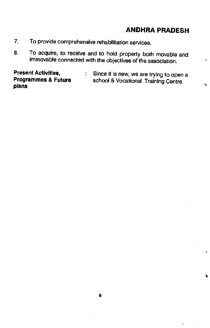$\mathbf{Q}$ 

- 7. To provide comprehensive rehabilitation services.
- 8. To acquire, to receive and to hold property both movable and immovable connected with the objectives of the association.

plans

**Present Activities, Since it is new, we are trying to open a**<br>**Programmes & Future** school & Vocational Training Centre school & Vocational Training Centre.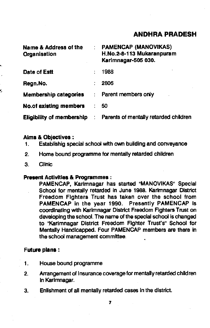| Name & Address of the<br>Organisation | ÷  | <b>PAMENCAP (MANOVIKAS)</b><br>H.No.2-8-113 Mukaranpuram<br>Karimnagar-505 030. |
|---------------------------------------|----|---------------------------------------------------------------------------------|
| Date of Estt                          |    | 1988                                                                            |
| Regn.No.                              |    | 2806                                                                            |
| <b>Membership categories</b>          | ÷  | Parent members only                                                             |
| No.of existing members                | t. | 50                                                                              |
| <b>Eligibility of membership</b>      |    | Parents of mentally retarded children                                           |

#### Alms & Objectives:

- 1. Establishig special school with own building and conveyance
- 2. Home bound. programme for mentally retarded children
- 3. Clinic

#### Present Activities & Programmes:

PAMENCAP, Karimnagar has started "MANOVIKAS" Special School for mentally retarded In June 1988. Karimnagar District Freedom Fighters Trust has taken over the school from PAMENCAP in the year 1990. Presently PAMENCAP is coordinating with Karimnagar District Freedom Fighters Trust on developing the school. The name of the special school is changed to "Karimnagar District Freedom FIghter Trust's" School for Mentally Handicapped. Four PAMENCAP members are there in the school management committee.

#### Future plans:

- 1. House bound programme
- 2. Arrangement of Insurance coverage for mentally retarded children In Karlmnagar.
- 3. Enlishment of all mentally retarded cases in the district.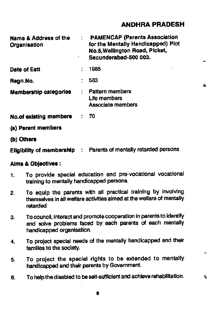4

ò.

| Name & Address of the<br>Organisation | <b>PAMENCAP (Parents Association</b><br>for the Mentally Handicapped) Plot<br>No.5, Wellington Road, Picket,<br>Secunderabad-500 003. | من . |
|---------------------------------------|---------------------------------------------------------------------------------------------------------------------------------------|------|
| Date of Estt                          | 1985                                                                                                                                  |      |
| Regn.No.                              | 583                                                                                                                                   | a    |
| <b>Membership categories</b>          | <b>Pattern members</b><br>Life members<br>Associate members                                                                           |      |
| <b>No.of existing members</b>         | 70                                                                                                                                    |      |
| (a) Parent members                    |                                                                                                                                       |      |
| (b) Others                            |                                                                                                                                       |      |

Eligibility of membership : Parents of mentally retarded persons

#### Alms & Objectives:

- 1. To provide special education and pre-vocational vocational training to mentally handicapped persons.
- 2. To equip the parents with all practical training by Involving themselves in all welfare activities aimed at the welfare of mentally retarded
- 3. To council, interact and promote cooperation in parents to identify and solve problems faced by each parents of each mentally handicapped organisatlon.
- 4. To project special needs of the mentally handicapped and their families to the society.
- 5. To project the special rights to be extended to mentally handicapped and their parents by Government.
- 6. To help the disabled to be self-sufficient and achieve rehabilitation.

S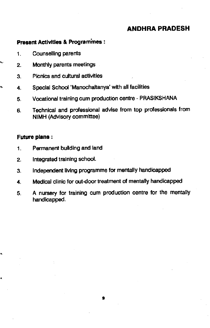## Present Activities & Programmes:

- 1. Counselling parents
- 2. Monthly parents meetings
- 3. Picnics and cultural activities
- 4. Special School 'Manochaltanya' with all facilities
	- 5. Vocational training cum production centre PRASIKSHANA
	- 6. Technical and professional advise from top professionals from NIMH (Advisory committee)

## Future plans:

ı,

j.

- 1. Permanent building and land
- 2. Integrated training school.
- 3. Independent living programme for mentally handicapped
- 4. Medical clinic for out-door treatment of mentally handicapped
- 5. A nursery for training cum production centre for the mentally handicapped.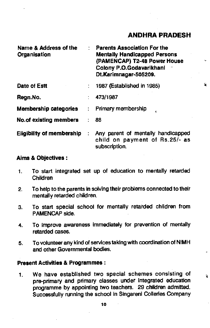| Name & Address of the<br>Organisation |        | <b>Parents Association For the</b><br><b>Mentally Handicapped Persons</b><br>(PAMENCAP) T2-48 Power House<br>Colony P.O.Godavarikhani<br>Dt.Karimnagar-505209. | $\sim$ |
|---------------------------------------|--------|----------------------------------------------------------------------------------------------------------------------------------------------------------------|--------|
| Date of Estt                          |        | 1987 (Established in 1985)                                                                                                                                     | 蛋      |
| Regn.No.                              |        | 473/1987                                                                                                                                                       |        |
| <b>Membership categories</b>          | $\sim$ | Primary membership<br>e                                                                                                                                        |        |
| <b>No.of existing members</b>         | ÷      | 88                                                                                                                                                             |        |
| <b>Eligibility of membership</b>      | ÷      | Any parent of mentally handicapped<br>child on payment of Rs.25/- as<br>subscription.                                                                          |        |
|                                       |        |                                                                                                                                                                |        |

#### Aims & Objectives:

- 1. To start integrated set up of education to mentally retarded Children
- 2. To help to the parents in solving their problems connected to their mentally retarded children.
- 3. To start special school for mentally retarded children from PAMENCAP side.
- 4. To improve awareness Immediately for prevention of mentally retarded cases.
- 5. To volunteer any kind of services taking with coordination of NIMH and other Governmental bodies.

## Present Activities & Programmes:

1. We have established two special schemes consisting of  $\frac{1}{3}$ pre-primary and primary classes under Integrated education programme by appointing two teachers. 29 children admitted. Successfully running the school in Singareni Collerles Company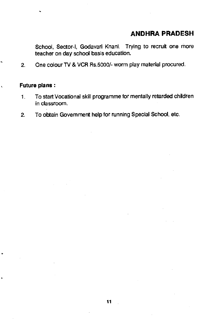School, Sector-I, Godavari Knani. Trying to recruit one more teacher on day school basis education.

2. One colour TV & VCR Rs.5000/- worm play material procured.

#### Future plans:

- 1. To start Vocational skill programme for mentally retarded children in classroom.
- 2. To obtain Govemment help for running Special School, etc.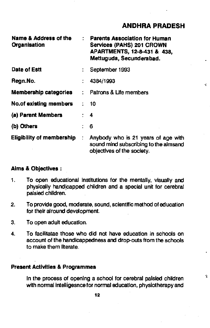| Name & Address of the<br>Organisation |   | <b>Parents Association for Human</b><br>Services (PAHS) 201 CROWN<br>APARTMENTS, 12-8-431 & 438,<br>Mettuguda, Secunderabad. |    |
|---------------------------------------|---|------------------------------------------------------------------------------------------------------------------------------|----|
| Date of Estt                          | ÷ | September 1993                                                                                                               |    |
| Regn.No.                              |   | 4384/1993                                                                                                                    | ÷. |
| <b>Membership categories</b>          |   | : Patrons & Life members                                                                                                     |    |
| <b>No.of existing members</b>         |   | 10                                                                                                                           |    |
| (a) Parent Members                    |   | : 4                                                                                                                          |    |
| (b) Others                            |   | : 6                                                                                                                          |    |
| <b>Eligibility of membership</b>      | ÷ | Anybody who is 21 years of age with<br>sound mind subscribing to the aimsand<br>objectives of the society.                   |    |

## Aims & Objectives:

- 1. To open educational institutions for the mentally, visually and physically handicapped children and a special unit for cerebral palsied children.
- 2. To provide good, moderate, sound, scientific method of education for their airound development.
- 3. To open adult education.
- 4. To facllitatae those who did not have education in schools on account of the handicappedness and drop-outs from the schools to make them literate.

#### Present Activities & Programmes

In the process of opening a school for cerebral palsied children with normal intelligesnce for normal education, physiotherapy and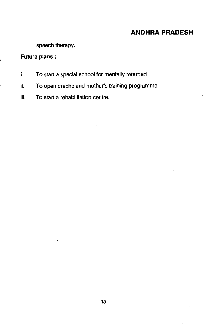speech therapy.

## Future plans;

- i. To start a special school for mentally retarded
- II. To open creche and mother's training programme
- iii. To start a rehabilitation centre.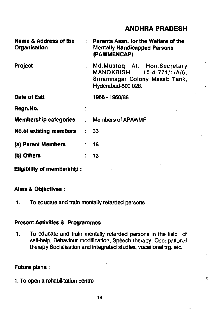$\ddot{\ddot{\bm{z}}}$ 

| Name & Address of the<br>Organisation | ÷  | Parents Assn, for the Welfare of the<br><b>Mentally Handicapped Persons</b><br>(PAWMENCAP)                          |   |
|---------------------------------------|----|---------------------------------------------------------------------------------------------------------------------|---|
| Project                               |    | Md. Mustaq All Hon. Secretary<br>MANOKRISHI 10-4-771/1/A/5,<br>Sriramnagar Colony Masab Tank,<br>Hyderabad-500 028. | ન |
| Date of Estt                          |    | 1988 - 1960/88                                                                                                      |   |
| Regn.No.                              |    |                                                                                                                     |   |
| <b>Membership categories</b>          |    | <b>Members of APAWMR</b>                                                                                            |   |
| <b>No.of existing members</b>         | t. | 33                                                                                                                  |   |
| (a) Parent Members                    |    | 18                                                                                                                  |   |
| (b) Others                            |    | 13                                                                                                                  |   |
|                                       |    |                                                                                                                     |   |

Eligibility of membership:

## Alms & Objectives:

1. To educate and train mentally retarded persons

## Present Activities & Programmes

1. To educate and train mentally retarded persons in the field of self-help, Behaviour modification, Speech therapy, Occupational therapy Socialisation and integrated studies, vocational trg. etc.

#### Future plans:

1. To open a rehabilitation centre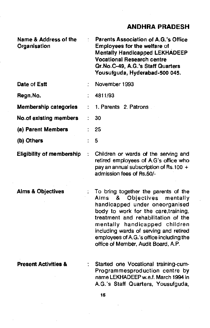| Name & Address of the<br>Organisation |    | Parents Association of A.G.'s Office<br>Employees for the welfare of<br><b>Mentally Handicapped LEKHADEEP</b><br><b>Vocational Research centre</b><br>Qr.No.C-49, A.G.'s Staff Quarters<br>Yousufguda, Hyderabad-500 045.                                                                                                                                   |
|---------------------------------------|----|-------------------------------------------------------------------------------------------------------------------------------------------------------------------------------------------------------------------------------------------------------------------------------------------------------------------------------------------------------------|
| Date of Estt                          |    | November 1993                                                                                                                                                                                                                                                                                                                                               |
| Regn.No.                              |    | 4811/93                                                                                                                                                                                                                                                                                                                                                     |
| Membership categories                 |    | 1. Parents 2. Patrons                                                                                                                                                                                                                                                                                                                                       |
| No.of existing members                | ť. | 30                                                                                                                                                                                                                                                                                                                                                          |
| (a) Parent Members                    |    | 251                                                                                                                                                                                                                                                                                                                                                         |
| (b) Others                            |    | 5                                                                                                                                                                                                                                                                                                                                                           |
| <b>Eligibility of membership</b>      | ÷  | Children or wards of the serving and<br>retired employees of A.G's office who<br>pay an annual subscription of Rs.100 +<br>admission fees of Rs.50/-                                                                                                                                                                                                        |
| <b>Aims &amp; Objectives</b>          |    | To bring together the parents of the<br>8.<br>Objectives<br>Aims<br>mentally<br>handicapped under oneorganised<br>body to work for the care, training,<br>treatment and rehabilitation of the<br>mentally handicapped children<br>including wards of serving and retired<br>employees of A.G.'s office including the<br>office of Member, Audit Board, A.P. |
| <b>Present Activities &amp;</b>       |    | Started one Vocational training-cum-<br>Programmesproduction centre by<br>name LEKHADEEP w.e.f. March 1994 in<br>A.G.'s Staff Quarters, Yousufguda,                                                                                                                                                                                                         |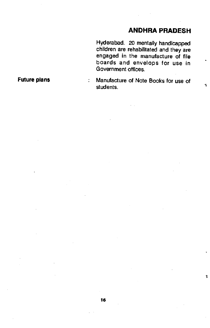$\ddot{\textbf{A}}$ 

Hyderabad. 20 mentally handicapped children are rehabilitated and they are engaged in the manufacture of file boards and envelops for use in Government offices.

Future plans The Manufacture of Note Books for use of students.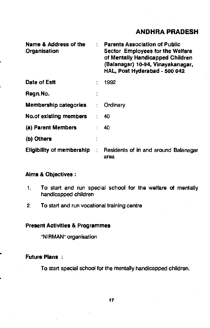| <b>Name &amp; Address of the</b><br>Organisation | <b>Parents Association of Public</b><br>Sector Employees for the Welfare<br>of Mentally Handicapped Children<br>(Balanagar) 10-94, Vinayakanagar,<br>HAL, Post Hyderabad - 500 042 |
|--------------------------------------------------|------------------------------------------------------------------------------------------------------------------------------------------------------------------------------------|
| Date of Estt                                     | 1992                                                                                                                                                                               |
| Regn.No.                                         |                                                                                                                                                                                    |
| <b>Membership categories</b>                     | Ordinary                                                                                                                                                                           |
| <b>No.of existing members</b>                    | 40                                                                                                                                                                                 |
| (a) Parent Members                               | 40                                                                                                                                                                                 |
| (b) Others                                       |                                                                                                                                                                                    |
| <b>Eligibility of membership</b>                 | Residents of in and around Balanagar<br>area                                                                                                                                       |

## Aims & Objectives:

- 1. To start and run special school for the welfare of mentally handicapped children
- 2. To start and run vocational training centre

#### Present Activities & Programmes

"NIRMAN' organisation

#### Future Plans

To start special school for the mentally handicapped children.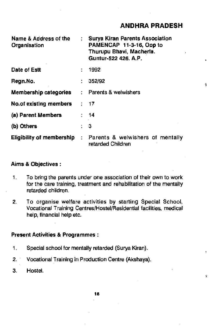$\tilde{\mathbf{C}}$ 

| Name & Address of the<br>Organisation |   | <b>Surya Kiran Parents Association</b><br>PAMENCAP 11-3-16, Opp to<br>Thurupu Bhavi, Macherla.<br>Guntur-522 426, A.P. |   |
|---------------------------------------|---|------------------------------------------------------------------------------------------------------------------------|---|
| Date of Estt                          |   | 1992                                                                                                                   |   |
| Regn.No.                              | ÷ | 352/92                                                                                                                 | ı |
| Membership categories                 |   | : Parents & welwishers                                                                                                 |   |
| <b>No.of existing members</b>         |   | : 17                                                                                                                   |   |
| (a) Parent Members                    |   | $\therefore$ 14                                                                                                        |   |
| (b) Others                            |   | 3                                                                                                                      |   |
| <b>Eligibility of membership</b>      |   | : Parents & welwishers of mentally<br>retarded Children                                                                |   |

#### Aims & Objectives:

- 1. To bring the parents under one association of their own to work for the care training, treatment and rehabilitation of the mentally retarded children.
- 2. To organise welfare activities by starting Special School, Vocational Training Centres/Hostel/Residential facilities, medical help, financial help etc.

## Present Activities & Programmes:

- 1. Special school for mentally retarded (Surya Kiran).
- 2. Vocational Training in Production Centre (Akshaya).
- 3. Hostel.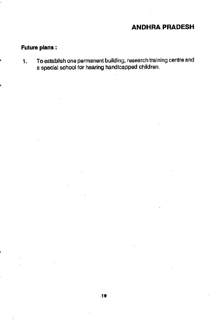## Future plans:

1. To establish one permanent building, research training centre and a special school for hearing handicapped children.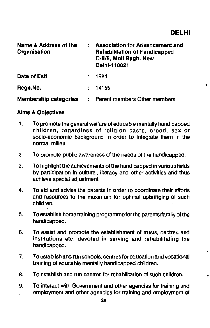ţ.

| Name & Address of the<br>Organisation | Association for Advancement and<br>Rehabilitation of Handicapped<br>C-II/5, Moti Bagh, New<br>Delhi-110021. |   |
|---------------------------------------|-------------------------------------------------------------------------------------------------------------|---|
| Date of Estt                          | 1984                                                                                                        |   |
| Regn.No.                              | 14155                                                                                                       | 1 |
| <b>Membership categories</b>          | Parent members Other members                                                                                |   |

#### Aims & Objectives

- 1. To promote the general welfare of educable mentally handicapped children, regardless of religion caste, creed, sex or socio-economic background in order to integrate them in the • normal milieu.
- 2. To promote public awareness of the needs of the handicapped.
- 3. To highlight the achievements of the handicapped in various fields by participation in cultural, literacy and other activities and thus achieve special adjustment.
- 4. To aid and advise the parents in order to coordinate their efforts and resources to the maximum for optimal upbringing of such children.
- 5. To establish home training programme for the parents/family of the handicapped.
- 6. To assist and promote the establishment of trusts, centres and institutions etc. devoted in serving and rehabilitating the handicapped.
- 7. To establish and run schools, centres for education and vocational training of educable mentally handicapped children.
- 8. To establish and run centres for rehabilitation of such children.
- 9. To interact with Government and other agencies for training and employment and other agencies for training and employment of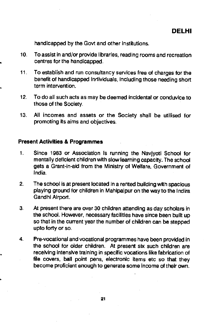handicapped by the Govt and other institutions.

- 10. To assist in and/or provide libraries, reading rooms and recreation centres for the handicapped.
- 11. To establish and run consultancy services free of charges for the benefit of handicapped individuals, including those needing short term intervention.
- 12. To do all such acts as may be deemed incidental or conduvice to those of the Society.
- 13. All incomes and assets or the Society shall be utilised for promoting its aims and objectives.

#### Present Activities & Programmes

- 1. Since 1983 or Association is running the Navjyoti School for mentally deficient children with slow leaming capacity. The school gets a Grant-in-aid from the Ministry of Welfare, Government of India.
- 2. The school is at present located In a rented building with spacious playing ground for children in Mahipalpur on the way to the Indira Gandhi Airport.
- 3. At present there are over 30 children attending as day scholars in the school. However, necessary facilities have since been built up so that in the current year the number of children can be stepped upto forty or so.
- 4. Pre-vocational and vocational programmes have been provided in the school for older children. At present six such children are receiving intensive training in specific vocations like fabrication of file covers, ball point pens, electronic items etc so that they become proficient enough to generate some income of their own.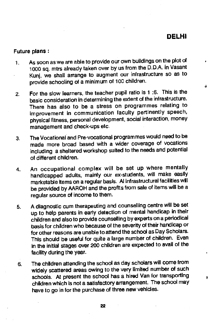## DELHI

Ä.

#### Future plans:

- As soon as we are able to provide our own buildings on the plot of  $\mathbf{1}$ 1000 sq. mtrs already taken over by us from the D.D.A. in Vasant Kun], we shall arrange to augment our infrastructure so as to provide schooling of a minimum of 100 children.
- 2. For the slow learners, the teacher pupil ratio is 1 :6. This is the basic consideration in determining the extent of the infrastructure. There has also to be a stress on programmes relating to improvement in communication faculty pertinently speech, physical fitness, personal development, social interaction, money management and check-ups etc.
- 3. The Vocational and Pre-vocational programmes would need to be made more broad based with a wider coverage of vocations including a sheltered workshop suited to the needs and potential of different children.
- 4. An occupational complex will be set up where mentally handicapped adults, mainly our ex-students, will make easily marketable items on a regular basis. Al infrastructural facilities will be provided by AARON and the profits from sale of items will be a regular source of income to them.
- 5. A diagnostic cum therapeuting and counselling centre will be set up to help parents in early detection of mental handicap in their children and also to provide counselling by experts on a periodical basis for children who because of the severity of their handicap or for other reasons are unable to attend the school as Day Scholars. This should be useful for quite a large number of children. Even In the initial stages over 200 chIldren are expected to avail of the facility during the year.
- 6. The children attending the school as day scholars will come from widely scattered areas owing to the very limited number of such schools. At present the school has a hired Van for transporting  $\frac{1}{3}$ children which is not a satisfactory arrangement. The school may have to go in for the purchase of three new vehicles.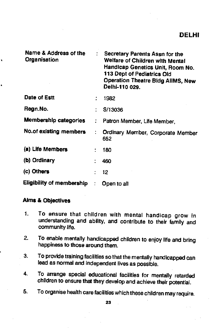| Name & Address of the<br>Organisation |   | Secretary Parents Assn for the<br>Welfare of Children with Mental<br>Handicap Genetics Unit, Room No.<br>113 Dept of Pediatrics Old<br><b>Operation Theatre Bldg AllMS, New</b><br>Delhi-110 029. |  |
|---------------------------------------|---|---------------------------------------------------------------------------------------------------------------------------------------------------------------------------------------------------|--|
| Date of Estt                          | ÷ | 1982                                                                                                                                                                                              |  |
| Regn.No.                              | ٠ | S/13036                                                                                                                                                                                           |  |
| <b>Membership categories</b>          |   | Patron Member, Life Member,                                                                                                                                                                       |  |
| No.of existing members                |   | Ordinary Member, Corporate Member<br>652                                                                                                                                                          |  |
| (a) Life Members                      |   | 180                                                                                                                                                                                               |  |
| (b) Ordinary                          | ÷ | 460                                                                                                                                                                                               |  |
| (c) Others                            | ÷ | 12                                                                                                                                                                                                |  |
| Eligibility of membership             |   | Open to all                                                                                                                                                                                       |  |

## Alms & Objectives

- 1. To ensure that children with mental handicap grow in understanding and ability, and contribute to their family and community life.
- 2. To enable mentally handicapped children to enjoy life and bring happiness to those around them.
- 3. To provide training facilities so that the mentally handicapped can lead as normal and independent lives as possible.
- 4. To arrange special educational facilities for mentally retarded children to ensure that they develop and achieve their potential.
- 5. To organise health care facilities which these children may require.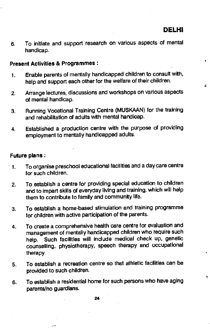$\bullet$ 

٠

 $\overline{\mathbf{A}}$ 

6. To Initiate and support research on various aspects of mental handicap.

#### Present Activities & Programmes

- 1. Enable parents of mentally handicapped children to consult with, help and support each other for the welfare of their children.
- 2. Arrange lectures, discussions and workshops on various aspects of mental handicap.
- 3. Running Vocational Training Centre (MIJSKAAN) for the training and rehabilitation of adults with mental handicap.
- 4. Established a production centre with the purpose of providing employment to mentally handicapped adults.

## Future plans:

- 1. To organise preschool educational facilities and a day care centre for such children.
- 2. To establish a centre for providing special education to children and to impart skills of everyday living and training, which will help them to contribute to family and community life.
- 3. To establish a home-based stimulation and training programme for children with active participation of the parents.
- 4. To create a comprehensive health care centre for evaluation and management of mentally handicapped children who require such help. Such facilities will include medical check up, genetic counselling, physiotherapy, speech therapy and occupational therapy.
- 5. To establish a recreation centre so that athletic facilities can be provided to such children.
- 6. To establish a residential home for such persons who have aging parents/no guardians.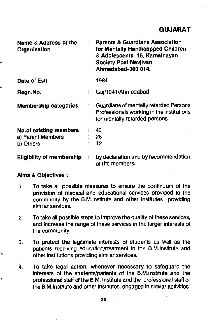| Name & Address of the<br>Organisation |        | : Parents & Guardians Association<br>for Mentally Handicapped Children.<br>& Adolescents 15, Kamalnayan<br>Society Post Navjivan<br>Ahmedabad-380 014. |
|---------------------------------------|--------|--------------------------------------------------------------------------------------------------------------------------------------------------------|
| Date of Estt                          |        | 1984                                                                                                                                                   |
| Regn.No.                              |        | Gui/1041/Ahmedabad                                                                                                                                     |
| <b>Membership categories</b>          | t i    | Guardians of mentally retarded Persons<br>Professionals working in the institutions<br>for mentally retarded persons.                                  |
| No.of existing members                |        | : 40                                                                                                                                                   |
| a) Parent Members                     |        | : 28                                                                                                                                                   |
| b) Others                             |        | 12                                                                                                                                                     |
| <b>Eligibility of membership</b>      | $\sim$ | by declaration and by recommendation<br>of the members.                                                                                                |

## Aims & Objectives:

- 1. To take all possible measures to ensure the continuum of the provision of medical, and educational services provided to the community by the B.M.lnstltute and other Institutes providing similar services.
- 2. To take all possible steps to improve the quality of these services, and increase the range of these services In the larger interests of the community.
- 3. To protect the legitimate interests of students as well as the patients receiving education/treatment in the B.M.Institute and other institutions providing similar services.
- 4. To take legal action, whenever necessary to safeguard the interests of the students/patients of the B.M.lnstitute and the professional staff of the G.M. Institute and the professional staff of the B.M.Institute and other Institutes, engaged in simkar activities.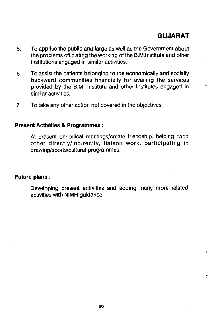## GUJARAT

Ŧ

- 5. To apprise the public and large as well as the Government about the problems officiating the working of the B.M.lnstitute and other institutions engaged in similar activities.
- 6. To assist the patients belonging to the economically and socially backward communities financially for availing the services provided by the B.M. Institute and other Institutes engaged in similar activities.
- 7. To take any other action not covered in the objectives.

#### Present Activities & Programmes:

At present periodical meetings/create friendship, helping each other directly/indirectly, liaison work, participating in drawing/sports/cultural programmes.

#### Future plans:

Developing present activities and adding many more related activities with NIMH guidance.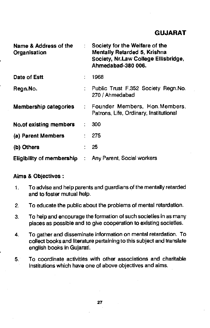## GUJARAT

| Name & Address of the<br>Organisation | ÷  | Society for the Welfare of the<br>Mentally Retarded 5, Krishna<br>Society, Nr.Law College Ellisbridge,<br>Ahmedabad-380 006. |
|---------------------------------------|----|------------------------------------------------------------------------------------------------------------------------------|
| Date of Estt                          | t. | 1968                                                                                                                         |
| Regn.No.                              |    | : Public Trust F.352 Society Regn.No.<br>270 / Ahmedabad                                                                     |
| Membership categories                 |    | : Founder Members, Hon. Members,<br>Patrons, Life, Ordinary, Institutional                                                   |
| <b>No.of existing members</b>         |    | 300                                                                                                                          |
| (a) Parent Members                    |    | 275                                                                                                                          |
| (b) Others                            |    | 25                                                                                                                           |
| <b>Eligibility of membership</b>      | ÷  | Any Parent, Social workers                                                                                                   |

## Aims & Objectives:

- 1. To advise and help parents and guardians of the mentally retarded and to foster mutual help.
- 2. To educate the public about the problems of mental retardation.
- 3. To help and encourage the formation of such societies in as many places as possIble and to give cooperation to existing societies.
- 4. To gather and disseminate information on mental retardation. To collect books and literature pertaining to this subject and translate english books In Gujarati.
- 5. To coordinate activities with other associations and charitable Institutions which have one of above objectives and alms.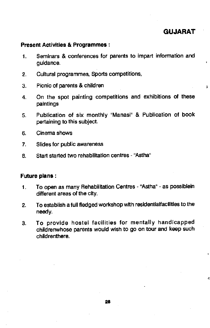# GUJARAT

 $\ddot{i}$ 

4

#### Present Activities & Programmes:

- 1. Seminars & conferences for parents to impart information and guidance.
- 2. Cultural programmes, Sports competitions,
- 3. Picnic of parents & children
- 4. On the spot painting competitions and exhibitions of these paintings
- 5. Publication of six monthly "Manasi" & Publication of book pertaining to this subject.
- 6. Cinema shows
- 7. Slides for public awareness
- 8. Start started two rehabilitation centres "Astha"

## Future plans:

- 1. To open as many Rehabilitation Centres "Astha" as possiblein different areas of the city.
- 2. To establish a full fledged workshop with residentiaifacilities to the needy.
- 3. To provide hostel facilities for mentally handicapped childrenwhose parents would wish to go on tour and keep such childrenthere.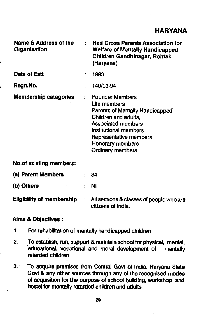# HARYANA

| Name & Address of the<br>Organisation | ٢ | <b>Red Cross Parents Association for</b><br><b>Welfare of Mentally Handicapped</b><br>Children Gandhinagar, Rohtak<br>(Haryana)                                                                                    |
|---------------------------------------|---|--------------------------------------------------------------------------------------------------------------------------------------------------------------------------------------------------------------------|
| Date of Estt                          |   | 1993                                                                                                                                                                                                               |
| Regn.No.                              | ÷ | 140/93-94                                                                                                                                                                                                          |
| <b>Membership categories</b>          |   | <b>Founder Members</b><br>Life members<br>Parents of Mentally Handicapped<br>Children and adults,<br>Associated members<br>Institutional members<br>Representative members<br>Honorary members<br>Ordinary members |

## No.01 existing members:

| (a) Parent Members               |            | -84                                                            |
|----------------------------------|------------|----------------------------------------------------------------|
| (b) Others                       |            | - Nil                                                          |
| <b>Eligibility of membership</b> | $\sim$ 100 | All sections & classes of people who are<br>citizens of India. |

#### Aims & Objectives:

- 1. For rehabilitation of mentally handicapped children
- 2. To establish, run, support & maintain school for physical, mental, educational, vocational and moral development of mentally retarded children.
- 3. To acquire premises from Central Govt of India, Haryana State Govt & any other sources through any of the recognised modes of acquisition for the purpose of school building, workshop and hostel for mentally retarded children and adults.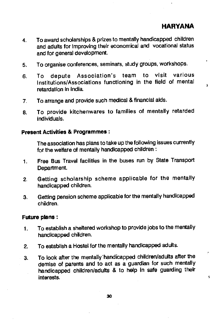ţ

- 4. To award scholarships & prizes to mentally handicapped children and adults for improving their economical and vocational status and for general development.
- 5. To organise conferences, seminars, study groups, workshops.
- 6. To depute Association's team to visit various Institutions/Associations functioning in the field of mental retardation in India.
- 7. To arrange and provide such medical & financial aids.
- 8. To provide kitchenwares to families of mentally retarded individuals.

#### Present Activities & Programmes:

The association has plans to take up the following issues currently for the welfare of mentally handicapped children:

- 1. Free Bus Travel facilities in the buses run by State Transport Department.
- 2. Getting scholarship scheme applicable for the mentally handicapped children.
- 3. Getting pension scheme applicable for the mentally handicapped children.

#### Future plans:

- 1. To establish a sheltered workshop to provide jobs to the mentally handicapped children.
- 2. To establish a Hostel for the mentally handicapped adults.
- 3. To look after the mentally handicapped children/adults after the demise of parents and to act as a guardian for such mentally handicapped children/adults & to help in safe guarding their Interests.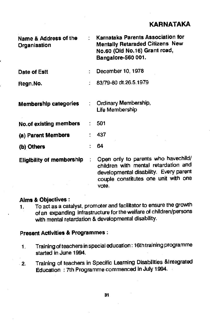| Name & Address of the<br>Organisation |    | Karnataka Parents Association for<br><b>Mentally Retaraded Citizens New</b><br>No.60 (Old No.16) Grant road,<br>Bangalore-560 001.                                     |
|---------------------------------------|----|------------------------------------------------------------------------------------------------------------------------------------------------------------------------|
| Date of Estt                          |    | December 10, 1978                                                                                                                                                      |
| Regn.No.                              |    | 83/79-80 dt.26.5.1979                                                                                                                                                  |
| <b>Membership categories</b>          | ÷. | Ordinary Membership,<br>Life Membership                                                                                                                                |
| <b>No.of existing members</b>         |    | 501                                                                                                                                                                    |
| (a) Parent Members                    |    | 437                                                                                                                                                                    |
| (b) Others                            |    | 64                                                                                                                                                                     |
| <b>Eligibility of membership</b>      | ÷  | Open only to parents who havechild/<br>children with mental retardation and<br>developmental disability. Every parent<br>couple constitutes one unit with one<br>vote. |

## Aims & Oblectives:

1. To act as a catalyst, promoter and facilitator to ensure the growth of an expanding infrastructure for the welfare of children/persons with mental retardation & developmental disability.

#### Present Activities & Programmes:

- 1. Training of teachers in special education: l6thtraining programme started in June 1994.
- 2. Training of teachers in Specific Learning Disabilities &lntegrated Education : 7th Programme commenced in July 1994.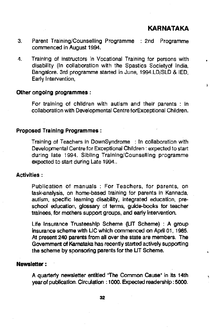$\frac{1}{2}$ 

ŧ

- 3. Parent Training/Counselling Programme : 2nd Programme commenced in August 1994.
- 4. Training of instructors in Vocational Training for persons with disability (In collaboration with the Spastics Societyof India, Bangalore. 3rd programme started in June, 1994.LD/SLD & lED, Early Intervention,

#### Other ongoing programmes:

For training of children with autism and their parents : in collaboration with Developmental Centre forExceptional Children.

#### Proposed Training Programmes:

Training of Teachers in DownSyndrome : In collaboration with Developmental Centre for Exceptional Children: expected to start during late 1994. Sibling Training/Counselling programme expected to start during Late 1994..

#### Activities:

Publication of manuals : For Teachers, for parents, on task-analysis, on home-based training for parents in Kannada, autism, specific learning disability, integrated education, preschool education, glossary of terms, guide-books for teacher trainees, for mothers support groups, and early intervention.

Life Insurance Trusteeship Scheme (LIT Scheme) : A group insurance scheme with LIC which commenced on April 01, 1985. At present 240 parents from all over the state are members. The Government of Karnataka has recently started actively supporting the scheme by sponsoring parents for the UT Scheme.

#### Newsletter:

A quarterly newsletter entitled 'The Common Cause" in its 14th year of publication. Circulation : 1000. Expected readership: 5000.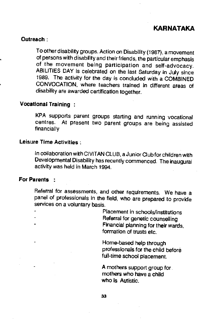#### Outreach:

To other disability groups. Action on Disability (1987), a movement of persons with disability and their friends, the particular emphasis of the movement being participation and self-advocacy. ABILITIES DAY is celebrated on the last Saturday in July since 1989. The activity for the day is concluded with a COMBINED CONVOCATION, where teachers trained in different areas of disability are awarded certification together

## Vocational Training

KPA supports parent groups starting and running vocational<br>centres. At present two parent groups are being accided At present two parent groups are being assisted financially

## Leisure Time Activities:

In collaboration with CIVITAN CLUB, a Junior Club for children with Developmental Disability has recently commenced. The inaugural activfty was held in March 1994.

## For Parents

Referral for assessments, and other requirements. We have a panel of professionals in the field, who are prepared to provide services on a voluntary basis.

> Placement in schools/institutions Referral for genetic counselling Financial planning for their wards, formation of trusts etc.

Home-based help through professionals for the child before full-time school placement.

A mothers support group for. mothers who have a child who Is Autistic.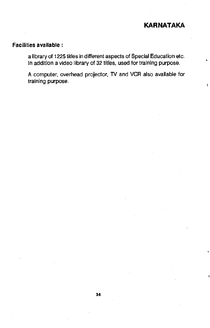ŧ

## Facilities available:

a library of 1225 titles in different aspects of Special Education etc. In addition a video library of 32 titles, used for training purpose.

A computer, overhead projector, TV and VCR also available for training purpose.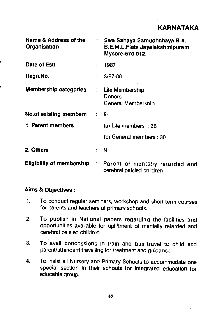| Name & Address of the<br>Organisation | t in                 | Swa Sahaya Samuchchaya B-4,<br>B.E.M.L.Flats Jayalakshmipuram<br>Mysore-570 012.         |
|---------------------------------------|----------------------|------------------------------------------------------------------------------------------|
| Date of Estt                          | $\ddot{\phantom{a}}$ | 1987                                                                                     |
| Regn.No.                              | ÷.                   | $3/87 - 88$                                                                              |
| Membership categories                 | $\ddot{\phantom{a}}$ | Life Membership<br><b>Donors</b><br>General Membership                                   |
| No.of existing members                | $\mathcal{L}$        | 56.                                                                                      |
| 1. Parent members                     |                      | $( a)$ Life members : 26                                                                 |
|                                       |                      | (b) General members : 30                                                                 |
| 2. Others                             |                      | Nil                                                                                      |
|                                       |                      | Eligibility of membership : Parent of mentally retarded and<br>cerebral palsied children |

## Aims & Objectives:

- 1. To conduct regular seminars, workshop and short term courses for parents and teachers of primary schools.
- 2. To publish in National papers regarding the facilities and opportunities available for upliftment of mentally retarded and cerebral palsied children
- 3. To avail concessions in train and bus travel to child and parent/attendant travelling for treatment and guidance.
- 4. To insist all Nursery and Primary Schools to accommodate one special section in their schools for integrated education for educable group.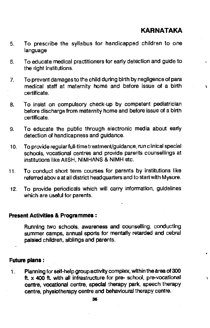À,

- 5. To prescribe the syllabus for handicapped children to one language
- 6. To educate medical practitioners for early detection and guide to the right institutions.
- 7. To prevent damages to the child during birth by negligence of para medical staff at maternity home and before issue of a birth  $\frac{1}{3}$ certificate.
- 8. To insist on compulsory check-up by competent pediatrician before discharge from maternity home and before issue of a birth certificate.
- 9. To educate the public through electronic media about early detection of handlcapness and guidance.
- 10. To provide regularfull-time treatment/guidance, run clinical special schools, vocational centres and provide parents counsellings at institutions like AIISH, NIMHANS & NIMH etc.
- 11. To conduct short term courses for parents by institutions like referred abov eat all district headquarters and to start with Mysore.
- 12. To provide periodicals which will carry information, guidelines which are useful for parents.

#### Present Activities & Programmes:

Running two schools, awareness and counselling, conducting summer camps, annual sports for mentally retarded and cebral palsied children, siblings and parents.

## Future plans:

1. Planning for self-help group activity complex, within the area of 300 ft.  $\times$  400 ft. with all infrastructure for pre- school, pre-vocational centre, vocational centre, special therapy park, speech therapy centre, physiotherapy centre and behavioural therapy centre.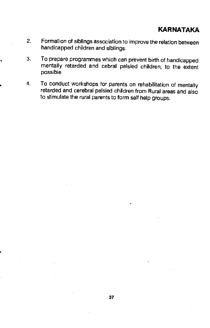- 2. Formation of siblings association to improve the relation between handicapped children and siblings.
- 3. To prepare programmes which can prevent birth of handicapped mentally retarded and cebral palsied children, to the extent possible.
- 4. To conduct workshops for parents on rehabilitation of mentally retarded and cerebral palsied children from Rural areas and also to stimulate the rural parents to form self help groups.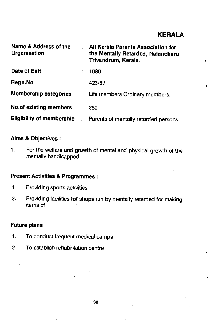$\bullet$ 

| Name & Address of the<br>Organisation | All Kerala Parents Association for<br>the Mentally Retarded, Nalancheru<br>Trivandrum, Kerala. |    |
|---------------------------------------|------------------------------------------------------------------------------------------------|----|
| Date of Estt                          | 1989                                                                                           |    |
| Regn.No.                              | 423/89                                                                                         | Ą. |
| <b>Membership categories</b>          | : Life members Ordinary members.                                                               |    |
| <b>No.of existing members</b>         | 250                                                                                            |    |
|                                       | Eligibility of membership : Parents of mentally retarded persons                               |    |

## Aims & Objectives:

1. For the welfare and growth of mental and physical growth of the mentally handicapped.

## Present Activities & Programmes:

- 1. Providing sports activities
- 2. Providing facilities for shops run by mentally retarded for making items of

## Future plans:

- 1. To conduct frequent medical camps
- 2. To establish rehabilitation centre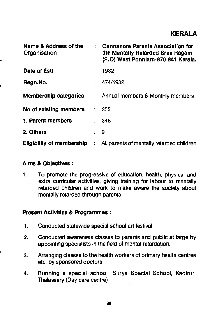| Name & Address of the<br>Organisation |               | <b>Cannanore Parents Association for</b><br>the Mentally Retarded Sree Ragam<br>(P.O) West Ponniam-670 641 Kerala. |
|---------------------------------------|---------------|--------------------------------------------------------------------------------------------------------------------|
| Date of Estt                          |               | 1982                                                                                                               |
| Regn.No.                              |               | 474/1982                                                                                                           |
| <b>Membership categories</b>          |               | : Annual members & Monthly members                                                                                 |
| No.of existing members                |               | . 355                                                                                                              |
| 1. Parent members                     |               | 346                                                                                                                |
| 2. Others                             |               | و :                                                                                                                |
| <b>Eligibility of membership</b>      | $\mathcal{L}$ | All parents of mentally retarded children                                                                          |

#### Aims & Objectives:

1. To promote the progressive of education, health, physical and extra curricular activities, giving training for labour to mentally retarded children and work to make aware the society about mentally retarded through parents.

#### Present Activities & Programmes:

- 1. Conducted statewide special school art festival.
- 2. Conducted awareness classes to parents and public at large by appointing specialists in the field of mental retardation.
- 3. Arranging classes to the health workers of primary health centres etc. by sponsored doctors.
- 4. Running a special school "Surya Special School, Kadirur, Ihalassery (Day care centre)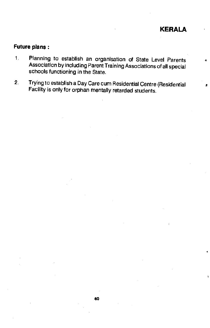## Future plans:

- 1. Planning to establish an organisation of State Level Parents Association by including Parent Training Associations of all special schools functioning in the State.
- 2. Trying to establish a Day Care cum Residential Centre (Residential Facility is only for orphan mentally retarded students.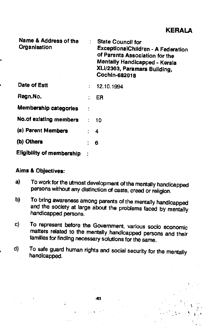KERALA

 $\frac{1}{2}$  ,  $\frac{1}{2}$  ,  $\frac{1}{2}$ 

| Name & Address of the<br>Organisation | <b>State Council for</b><br><b>ExceptionalChildren - A Federation</b><br>of Parents Association for the<br>Mentally Handicapped - Kerala<br>XLI/2303, Paramara Building,<br>Cochin-682018 |
|---------------------------------------|-------------------------------------------------------------------------------------------------------------------------------------------------------------------------------------------|
| <b>Date of Estt</b>                   | 12.10.1994                                                                                                                                                                                |
| Regn.No.                              | ER                                                                                                                                                                                        |
| <b>Membership categories</b>          |                                                                                                                                                                                           |
| No.of existing members                | : 10                                                                                                                                                                                      |
| (a) Parent Members                    | 4                                                                                                                                                                                         |
| (b) Others                            | 6                                                                                                                                                                                         |
| <b>Eligibility of membership</b>      |                                                                                                                                                                                           |

#### Aims & Objectives:

- a) To work for the utmost development of the mentally handicapped persons without any distinction of caste, creed or religion.
- b) To bring awareness among parents of the mentally handicapped and the society at large about the problems faced by mentally handicapped persons.
- c) To represent before the Government, various socio economic matters related to the mentally handicapped persons and their families for finding necessary solutions for the same.
- d) To safe guard human rights and social security for the mentally handicapped.

41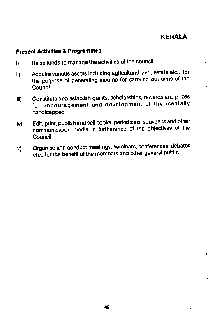## **KERALA**

 $\overline{a}$ 

Ý.

#### Present Activities & Programmes

- i) Raise funds to manage the activities of the council.
- ii) Acquire various assets including agricultural land, estate etc., for the purpose of generating income for carrying out aims of the Council.
- iii) Constitute and establish grants, scholarships, rewards and prizes for encouragement and development of the mentally handicapped.
- lv) Edit, print, publish and sell books, periodicals, souvenirs and other communication media in furtherance of the objectives of the Council.
- v) Organise and conduct meetings, seminars, conferences, debates etc., for the benefit of the members and other general public.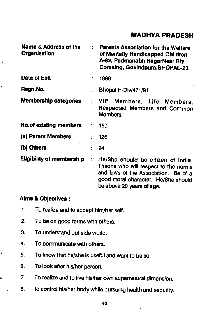# MADHYA PRADESH

| Name & Address of the<br>Organisation |   | Parents Association for the Welfare<br>of Mentally Handicapped Children<br>A-82, Padmanabh NagarNear Riy<br>Corssing, Govindpura, BHOPAL-23.                                           |
|---------------------------------------|---|----------------------------------------------------------------------------------------------------------------------------------------------------------------------------------------|
| Date of Estt                          |   | 1989                                                                                                                                                                                   |
| Regn.No.                              |   | Bhopal H-Div/471/91                                                                                                                                                                    |
| <b>Membership categories</b>          |   | : VIP Members, Life Members,<br>Respected Members and Common<br>Members.                                                                                                               |
| <b>No.of existing members</b>         |   | 150                                                                                                                                                                                    |
| (a) Parent Members                    |   | 126                                                                                                                                                                                    |
| (b) Others                            |   | 24                                                                                                                                                                                     |
| <b>Eligibility of membership</b>      | ÷ | He/She should be citizen of India.<br>Theone who will respect to the norms<br>and laws of the Association. Be of a<br>good moral character. He/She should<br>be above 20 years of age. |

#### Aims & Objectives:

×

 $\bullet$ 

 $\bullet$ 

Ļ

- 1. To realize and to accept him/her self.
- 2. To be on good terms with others.
- 3. To understand out side world.
- 4. To communicate with others.
- 5. To know that he/she is useful and want to be so.
- 6. To look after his/her person.
- 7. To realize and to live his/her own supernatural dimension.
- 8. to control his/her body while pursuing health and security.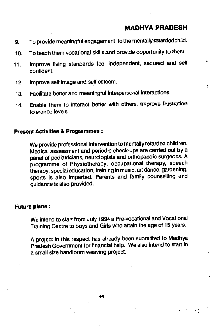## MADHVA PRADESH

- 9. To provide meaningful engagement to the mentally retarded child.
- 10. To teach them vocational skills and provide opportunity to them.
- 11. Improve living standards feel independent, secured and self confident.
- 12. Improve self image and self esteem.
- 13. Facilitate better and meaningful interpersonal interactions.
- 14. Enable them to interact better with others. Improve frustration tolerance levels.

## Present Activities & Programmes:

We provide professional intervention to mentally retarded children. Medical assessment and periodic check-ups are carried out by a panel of pediatricians, neurologists and orthopaedic surgeons. A programme of Physiotherapy, occupational therapy, speech therapy, special education, training In music, art dance, gardening, sports is also imparted. Parents and family counselling and guidance is also provided.

#### Future plans:

We intend to start from July 1994 a Pre-vocational and Vocational Training Centre to boys and Girls who attain the age of 15 years.

A project in this respect has already been submitted to Madhya Pradesh Government for financial help. We also intend to start In a small size handloom weaving project.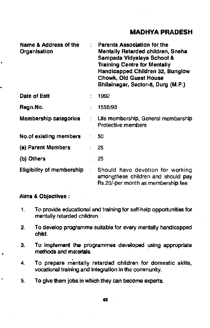## MADHYA PRADESH

| Name & Address of the<br>Organisation |                              | <b>Parents Association for the</b><br><b>Mentally Retarded children, Sneha</b><br>Sampada Vidyalaya School &<br><b>Training Centre for Mentally</b><br>Handicapped Children 32, Bunglow<br><b>Chowk, Old Guest House</b><br>Bhilainagar, Sector-8, Durg (M.P.) |
|---------------------------------------|------------------------------|----------------------------------------------------------------------------------------------------------------------------------------------------------------------------------------------------------------------------------------------------------------|
| Date of Estt                          |                              | 1992                                                                                                                                                                                                                                                           |
| Regn.No.                              |                              | 1558/93                                                                                                                                                                                                                                                        |
| <b>Membership categories</b>          |                              | Life membership, General membership<br>Protective members                                                                                                                                                                                                      |
| No.of existing members                |                              | : 50                                                                                                                                                                                                                                                           |
| (a) Parent Members                    |                              | 25                                                                                                                                                                                                                                                             |
| (b) Others                            |                              | 25                                                                                                                                                                                                                                                             |
| <b>Eligibility of membership</b>      | $\mathcal{L}_{\mathrm{max}}$ | Should have devotion for working<br>amongthese children and should pay<br>Rs.20/-per month as membership fee.                                                                                                                                                  |

#### Aims & Objectives:

 $\ddot{\phantom{1}}$ 

- 1. To provide educational and training for self-help opportunities for mentally retarded children.
- 2. To develop programme suitable for every mentally handicapped child.
- 3. To Implement the programmes developed using appropriate methods and matedals.
- 4. To prepare mentally retarded children for domestic skills, vocational training and integration in the community.
- 5. To give them jobs In which they can become experts.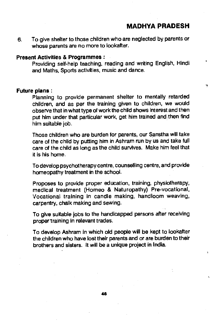MADHVA PRADESH

Ń,

6. To give shelter to those children who are neglected by parents or whose parents are no more to lookafter.

#### Present Activities & Programmes:

Providing self-help teaching, reading and writing English, Hindi and Maths. Sports activities, music and dance.

#### Future plans:

Planning to provide permanent shelter to mentally retarded children, and as per the training given to children, we would observe that in what type of work the child shows Interest and then put him under that particular work, get him trained and then find him suitable job.

Those children who are burden for parents, our Sanstha will take care of the child by putting him in Ashram run by us and take full care of the child as long as the child survives. Make him feel that it is his home.

To develop psychotherapy centre, counselling centre, and provide homeopathy treatment in the school.

Proposes to provide proper education, training, physiotherapy, medical treatment (Homeo & Naturopathy) Pre-vocational, Vocational training in candle making, handloom weaving, carpentry, chalk making and sewing.

To give suitable jobs to the handicapped persons after receiving proper training in relevant trades.

To develop Ashram in which old people will be kept to lookafter the children who have lost their parents and or are burden to their brothers and sisters. It will be a unique project in India.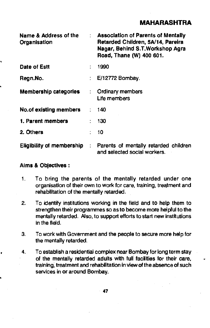| Name & Address of the<br>Organisation | : Association of Parents of Mentally<br>Retarded Children, 5A/14, Pareira<br>Nagar, Behind S.T. Workshop Agra<br>Road, Thane (W) 400 601. |
|---------------------------------------|-------------------------------------------------------------------------------------------------------------------------------------------|
| Date of Estt                          | 1990                                                                                                                                      |
| Regn.No.                              | $E/12772$ Bombay.                                                                                                                         |
| <b>Membership categories</b>          | : Ordinary members<br>Life members                                                                                                        |
| No.of existing members                | 140                                                                                                                                       |
| 1. Parent members                     | 130                                                                                                                                       |
| 2. Others                             | 10                                                                                                                                        |
| Eligibility of membership             | : Parents of mentally retarded children<br>and selected social workers.                                                                   |

#### Aims & Objectives:

- 1. To bring the parents of the mentally retarded under one organisation of their own to work for care, training, treatment and rehabilitation of the mentally retarded.
- 2. To identify institutions working in the field and to help them to strengthen their programmes so as to become more helpful to the mentally retarded. Also, to support efforts to start new institutions in the field.
- 3. To work with Government and the people to secure more help for the mentally retarded.
- 4. To establish a residential complex near Bombay for long term stay of the mentally retarded adults with full facilities for their care, training, treatment and rehabilitation in view of the absence of such services in or around Bombay.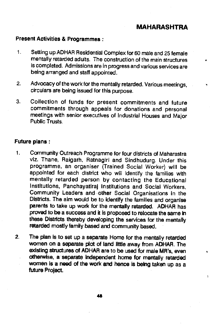$\lambda$ 

## Present Activities & Programmes:

- $1.$ Setting up ADHAR Residential Complex for 60 male and 25 female mentally retarded adults. The construction of the main structures is completed. Admissions are in progress and various services are being arranged and staff appointed.
- 2. Advocacy of the work for the mentally retarded. Various meetings, circulars are being issued for this purpose.
- 3. Collection ot funds for present commitments and future commitments through appeals for donations and personal meetings with senior executives of Industrial Houses and Major Public Trusts.

#### Future plans:

- $\mathbf{1}$ . Community Outreach Programme for four districts of Maharastra viz. Thane, Raigarh, Ratnagiri and Sindhudurg. Under this programme, an organiser (Trained Social Worker) will be appointed for each district who will Identify the families with mentally retarded person by contacting the Educational Institutions, Panchayatiraj Institutions and Social Workers, Community Leaders and other Social Organisations In the Districts. The aim would be to identify the families and organise parents to take up work for the mentally retarded. ADHAR has proved to be a success and it is proposed to relocate the same in these Districts thereby developing the services for the mentally retarded mostly family based and community based.
- 2. The plan is to set up a separate Home for the mentally retarded women on a separate plot of land little away from ADHAR. The existing structures of ADHAR are to be used for male MR's, even otherwise, a separate independent home for mentally retarded women is a need of the work and hence is being taken up as a future Project.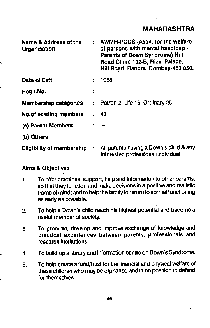| Name & Address of the<br>Organisation |    | : AWMH-PODS (Assn. for the welfare<br>of persons with mental handicap -<br><b>Parents of Down Syndrome) Hill</b><br>Road Clinic 102-B, Rizvi Palace,<br>Hill Road, Bandra Bombay-400 050. |
|---------------------------------------|----|-------------------------------------------------------------------------------------------------------------------------------------------------------------------------------------------|
| Date of Estt                          |    | 1988                                                                                                                                                                                      |
| Regn.No.                              |    |                                                                                                                                                                                           |
| <b>Membership categories</b>          | t. | Patron-2, Life-16, Ordinary-25                                                                                                                                                            |
| No.of existing members                |    | -43                                                                                                                                                                                       |
| (a) Parent Members                    |    |                                                                                                                                                                                           |
| (b) Others                            |    | --                                                                                                                                                                                        |
| <b>Eligibility of membership</b>      |    | All parents having a Down's child & any<br>interested professional/individual                                                                                                             |

#### Alms & Objectives

€

- 1. To offer emotional support, help and information to other parents. so that they function and make decisions in a positive and realistic frame of mind; and to help the familyto return to normal functioning as early as possible.
- 2. To help a Down's child reach his highest potential and become a useful member of society.
- 3. To promote, develop and Improve exchange of knowledge and practical experiences between parents, professionals and research institutions.
- 4. To build up a library and Information centre on Down's Syndrome.
- 5. To help create a fund/trust for the financial and physical welfare of these children who may be orphaned and in no position to defend for themselves.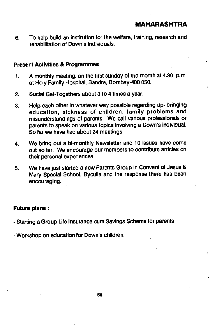6. To help build an institution for the welfare, training, research and rehabilitation of Down's individuals.

### Present Activities & Programmes

- 1. A monthly meeting, on the first sunday of the month at 4.30 p.m. at Holy Family Hospital, Bandra, Bombay-400 050.
- 2. Social Get-Togethers about 3 to 4 times a year.
- 3. Help each other in whatever way possible regarding up- bringing education, sickness of children, family problems and misunderstandings of parents. We call various professionals or parents to speak on various topics Involving a Down's Individual. So far we have had about 24 meetings.
- 4. We bring out a bi-monthly Newsletter and 10 issues have come out so far. We encourage our members to contribute articles on their personal experiences.
- 5. We have just started a new Parents Group in Convent of Jesus & Mary Special School, Byculla and the response there has been encouraging.

## Future plans:

- Starting a Group Life Insurance cum Savings Scheme for parents

- Workshop on education for Down's children.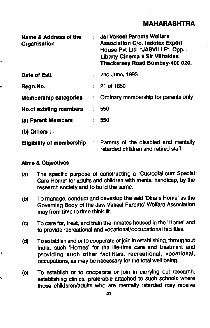| <b>Name &amp; Address of the</b><br>Organisation |               | Jai Vakeel Parents Welfare<br><b>Association C/o. Indotex Export</b><br>House Pvt Ltd "JASVILLE", Opp.<br><b>Liberty Cinema 9 Sir Vithaldas</b><br>Thackersey Road Bombay-400 020. |
|--------------------------------------------------|---------------|------------------------------------------------------------------------------------------------------------------------------------------------------------------------------------|
| Date of Estt                                     |               | : 2nd June, 1993                                                                                                                                                                   |
| Regn.No.                                         |               | : 21 of 1860                                                                                                                                                                       |
| <b>Membership categories</b>                     | $\mathbf{r}$  | Ordinary membership for parents only                                                                                                                                               |
| <b>No.of existing members</b>                    |               | 550                                                                                                                                                                                |
| (a) Parent Members                               | $\mathcal{L}$ | 550                                                                                                                                                                                |
| (b) Others : -                                   |               |                                                                                                                                                                                    |
| <b>Eligibility of membership</b>                 | $\mathcal{L}$ | Parents of the disabled and mentally<br>retarded children and retired staff.                                                                                                       |

#### Aims & Objectives

- (a) The specific purpose of constructing a "Custodial-cum-Special Care Home" for adults and children with mental handicap, by the research society and to build the same.
- (b) To manage, conduct and deveslop the said 'Dma's Home' as the Goveming Body of the Jaw Vakeel Parents' Welfare Association may from time to time think fit.
- (c) To care for, treat, and train the inmates housed in the 'Home' and to provide recreational and vocational/occupational facilities.
- (d) To establish and or to cooperate or join in establishing, throughout India, such 'Homes' for the life-time care and treatment and providing such other facilities, recreational; vocational, occupations, as may be necessary for the total well being.
- (e) To establish or to cooperate or join in carrying out research, establishing clinics, preferable attached to such schools where those chfldsren/adults who are mentally retarded may receive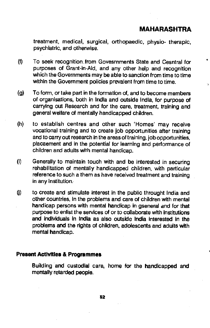treatment, medical, surgical, orthopaedic, physio- therapic, psychiatric, and otherwise.

- $(f)$  To seek recognition from Govesrnments State and Cesntral for purposes of Grant-in-Aid, and any other help and recognition which the Governments may be able to sanction from time to time within the Government policies prevalent from time to time.
- (g) To form, or take part in the formation of, and to become members of organisations, both in India and outside India, for purpose of carrying out Research and for the care, treatment, training and general welfare of mentally handicapped children.
- (h) to establish centres and other such 'Homes' may receive vocational training and to create job opportunities after training and to carry out research in the areas of training, job opportunities, placaement and in the potential for learning and performance of children and adults with mental handicap.
- (i) Generally to maintain touch with and be interested in securing rehabilitation of mentally handicapped children, with particular reference to such a them as have received treatment and training in any Institution;
- ) to create and stimulate interest in the public throught India and other countries, in the problems and care of children with mental handicap persons with mental handicap in gsenerai and for that purpose to enlist the services of or to collaborate with Institutions and individuals in India as also outside India interested in the problems and the rights of chIldren, adolescents and adults with mental handicap.

## Present Activities & Programmes

Building and custodial care, home for the handicapped and mentally retarded people.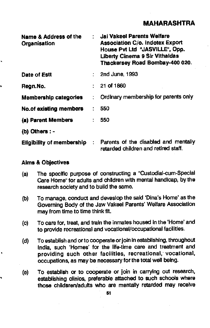| Name & Address of the<br>Organisation |                              | : Jai Vakeel Parents Welfare<br><b>Association C/o. Indotex Export</b><br>House Pvt Ltd "JASVILLE", Opp.<br>Liberty Cinema 9 Sir Vithaldas<br>Thackersey Road Bombay-400 020. |
|---------------------------------------|------------------------------|-------------------------------------------------------------------------------------------------------------------------------------------------------------------------------|
| Date of Estt                          |                              | $:$ 2nd June, 1993                                                                                                                                                            |
| Regn.No.                              |                              | $: 21$ of 1860                                                                                                                                                                |
| <b>Membership categories</b>          |                              | : Ordinary membership for parents only                                                                                                                                        |
| <b>No.of existing members</b>         |                              | 550                                                                                                                                                                           |
| (a) Parent Members                    |                              | 550                                                                                                                                                                           |
| (b) Others : -                        |                              |                                                                                                                                                                               |
| <b>Eligibility of membership</b>      | $\mathcal{L}_{\mathrm{eff}}$ | Parents of the disabled and mentally<br>retarded children and retired staff.                                                                                                  |

## Alms & Objectives

- (a) The specific purpose of constructing a "Custodial-cum-Special Care Home" for adults and children with mental handicap, by the research society and to build the same.
- (b) To manage, conduct and deveslop the said 'Dina's Home' as the Governing Body of the Jaw Vakeel Parents' Welfare Association may from time to time think fit.
- (c) To care for, treat, and train the inmates housed in the 'Home' and to provide recreational and vocational/occupational facilities.
- (d) To establish and orto cooperate or join in establishing, throughout India, such 'Homes' for the life-time care and treatment and providing such other facilities, recreational, vocational, occupations, as may be necessary for the total well being.
- (e) To establish or to cooperate or join in carrying out research, establishing clinics, preferable attached to such schools where those chiidsren/adults who are mentally retarded may receive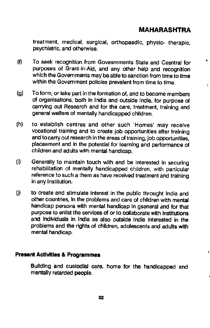Ÿ.

treatment, medical, surgical, orthopaedic, physio- therapic, psychiatric, and otherwise.

- (0 To seek recognition.from Govesrnments State and Cesntrai for purposes of Grant-in-Aid, and any other help and recognition which the Governments may be able to sanction from time to time within the Government policies prevalent from time to time.
- (g) To form, or take part in the formation of, and to become members of organisations, both in India and outside India, for purpose of carrying out Research and for the care, treatment, training and general welfare of mentally handicapped children.
- (h) to establish centres and other such 'Homes' may receive vocational training and to create job opportunities after training and to carry out research in the areas of training, job opportunities. piacaement and in the potential for learning and performance of children and adults with mental handicap.
- (i) Generally to maintain touch with and be interested in securing rehabilitation of mentally handicapped children, with particular reference to such a them as have received treatment and training. in any Institution.
- U) to create and stimulate interest in the public throught India and other countries, In the problems and care of children with mental handicap persons with mental handicap in gseneral and for that purpose to enlist the services of or to collaborate with institutions and individuals in India as also outside India interested in the problems and the rights of children, adolescents and adults with mental handicap.

## Present Activities & Programmes

Building and custodial care, home for the handicapped and mentally retarded people.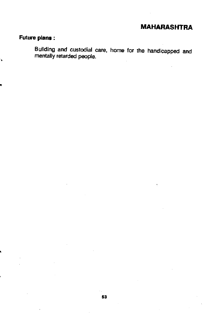## Future plans;

ī.

Building and custodial care, home for the handicapped and mentafly retarded people.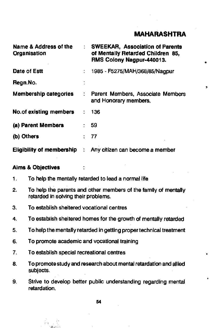| Name & Address of the<br>Organisation |                            | <b>SWEEKAR, Association of Parents</b><br>of Mentally Retarded Children 85,<br>RMS Colony Nagpur-440013. |    |
|---------------------------------------|----------------------------|----------------------------------------------------------------------------------------------------------|----|
| Date of Estt                          | $\frac{1}{2}$              | 1985 - F5275/MAH/368/85/Nagpur                                                                           |    |
| Regn.No.                              |                            |                                                                                                          | у. |
| <b>Membership categories</b>          | $\mathcal{L}^{\text{max}}$ | Parent Members, Associate Members<br>and Honorary members,                                               |    |
| <b>No.of existing members</b>         |                            | 136                                                                                                      |    |
| (a) Parent Members                    |                            | : 59                                                                                                     |    |
| (b) Others                            |                            | -77                                                                                                      |    |
| Eligibility of membership             | ÷                          | Any citizen can become a member                                                                          |    |

#### Aims & Objectives

- 1. To help the mentally retarded to lead a normal life
- 2. To help the parents and other members of the family of mentally retarded in solving their problems.
- 3. To establish sheltered vocational centres
- 4. To establish sheltered homes for the growth of mentally retarded
- 5. To help the mentally retarded in getting proper technical treatment
- 6. To promote academic and vocational training
- 7. To establish special recreational centres

έü  $A \cup C$ 

- 8. To promote study and research about mental retardation and allied subjects.
- 9. Strive to develop better public understanding regarding mental retardation.

54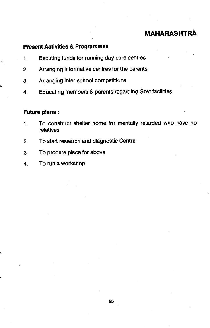#### Present Activities & Programmes

- 1. Eecuting tunds for running day-care centres
- 2. Arranging informative centres for the parents
- 3. Arranging inter-school competitions
- 4. Educating members & parents regarding Govt.facilities

## Future plans:

- 1. To construct shelter home for mentally retarded who have no relatives
- 2. To start research and diagnostic Centre
- 3. To procure place for above
- 4. To run a workshop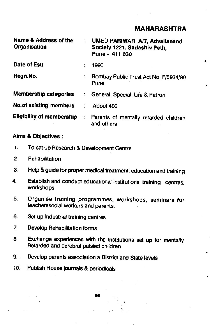| Name & Address of the<br>Organisation |                             | : UMED PARIWAR A/7, Advaitanand<br>Society 1221, Sadashiv Peth,<br>Pune - 411 030 |   |
|---------------------------------------|-----------------------------|-----------------------------------------------------------------------------------|---|
| Date of Estt                          |                             | 1990                                                                              | ٠ |
| Regn.No.                              | $\ddot{\cdot}$              | Bombay Public Trust Act No. F/5934/89<br>Pune                                     |   |
|                                       |                             | Membership categories :: General, Special, Life & Patron                          |   |
| No.of existing members                | $\mathcal{L}^{\mathcal{L}}$ | About 400                                                                         |   |
| <b>Eligibility of membership</b>      | $\mathcal{L}_{\mathcal{A}}$ | Parents of mentally retarded children<br>and others                               |   |

## Aims & Objectives:

- 1. To set up Research & Development Centre
- 2. Rehabilitation
- 3. Help & guide for proper medical treatment, education and training
- 4. Establish and conduct educational institutions, training centres, workshops
- 5. Organise training programmes, workshops, seminars for teacherssocial workers and parents.
- 6. Set up Industrial training centres
- 7. Develop Rehabilitation forms
- 8. Exchange experiences with the institutions set up for mentally Retarded and cerebral palsied children
- 9. Develop parents association a District and State levels
- 10. Publish House journals & periodicals

S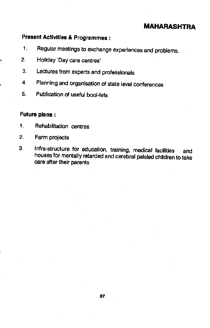# Present Activities & Programmes:

- 1. Regular meetings to exchange experiences and problems.
- 2. Holiday 'Day care centres'
- 3. Lectures from experts and professionals
- 4. Planning and organisation of state level conferences
- 5. Publication of useful bool-lets

## Future plans:

- 1. Rehabilitation centres
- 2. Farm projects
- 3. Infra-structure for education, training, medical faciities and houses for mentally retarded and cerebral palsied children to take care after their parents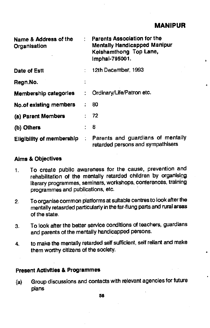# **MANIPUR**

| Name & Address of the<br>Organisation |                             | Parents Association for the<br><b>Mentally Handicapped Manipur</b><br>Keishamthong Top Lane,<br>Imphal-795001.<br>а |
|---------------------------------------|-----------------------------|---------------------------------------------------------------------------------------------------------------------|
| Date of Estt                          |                             | 12th December, 1993                                                                                                 |
| Regn.No.                              | ÷                           |                                                                                                                     |
| Membership categories                 |                             | Ordinary/Life/Patron etc.                                                                                           |
| No.of existing members                |                             | 80                                                                                                                  |
| (a) Parent Members                    |                             | -72                                                                                                                 |
| (b) Others                            | ÷                           | 8                                                                                                                   |
| <b>Eligibility of membership</b>      | $\mathcal{L}_{\mathcal{A}}$ | Parents and guardians of mentally<br>retarded persons and sympathisers                                              |

#### Aims & Objectives

- 1. To create public awareness for the cause, prevention and rehabilitation of the mentally retarded children by organising literary programmes, seminars, workshops, conferences, training programmes and publications, etc.
- 2. To organise common platforms at suitable centres to look after the mentally retasrded particularly in the far-flung parts and rural areas of the state.
- 3. To look after the better service conditions of teachers, guardians and parents of the mentally handicapped persons.
- 4. to make the mentally retarded self sufficient, self reliant and make them worthy citizens of the society.

#### Present Activities & Programmes

(a) Group discussions and contacts with relevant agencies for future plans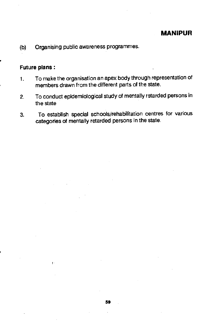## MANIPUR

(b) Organising public awareness programmes.

## Future plans:

 $\mathbf{I}$ .

- 1. To make the organisation an apex body through representation of members drawn from the different parts of the state.
- 2. To conduct epidemiological study of mentally retarded persons in the state
- 3. To establish special schools/rehabilitation centres for various categories of mentally retarded persons in the state.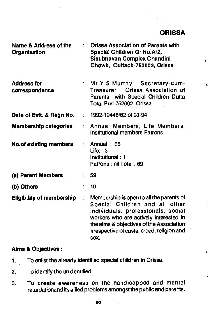| Name & Address of the<br>Organisation |   | <b>Orissa Association of Parents with</b><br>Special Children Qr.No.A/2,<br>Sisubhavan Complex Chandini<br>s.<br>Chowk, Cuttack-753002, Orissa                                                                                                               |
|---------------------------------------|---|--------------------------------------------------------------------------------------------------------------------------------------------------------------------------------------------------------------------------------------------------------------|
| <b>Address for</b><br>correspondence  |   | : Mr.Y.S.Murthy Secretary-cum-<br>Ł<br>Orissa Association of<br>Treasurer<br>Parents with Special Children Dutta<br>Tota, Puri-752002 Orissa                                                                                                                 |
| Date of Estt. & Regn No.              | ÷ | 1992-19448/62 of 93-94                                                                                                                                                                                                                                       |
| <b>Membership categories</b>          |   | Annual Members, Life Members,<br>Institutional members Patrons                                                                                                                                                                                               |
| <b>No.of existing members</b>         |   | Annual: 65<br>Life: 3<br>Institutional: 1<br>Patrons: nil Total: 69                                                                                                                                                                                          |
| (a) Parent Members                    |   | 59                                                                                                                                                                                                                                                           |
| (b) Others                            |   | 10                                                                                                                                                                                                                                                           |
| <b>Eligibility of membership.</b>     |   | Membership is open to all the parents of<br>Special Children and all other<br>individuals, professionals, social<br>workers who are actively interested in<br>the aims & objectives of the Association<br>irrespective of caste, creed, religion and<br>sex. |

## Aims & Objectives:

- 1. To enlist the already Identified special children in Orissa.
- 2. To identify the unidentified.
- 3. To create awareness on the handicapped and mental retardationand its allied problems amongst the public and parents.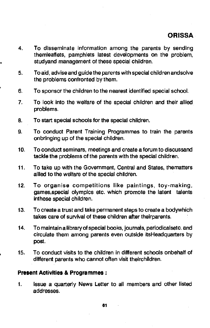- 4. To disseminate information among the parents by sending themleaflets, pamphlets latest developments on the problem, studyand management of these special children.
- 5. To aid, advise and guide the parents with special children andsolve the problems confronted by them.
- 6. To sponsor the Children to the nearest identified special school.
- 7. To look into the welfare of the special children and their allied problems.
- 8. To start special schools for the special children.
- 9. To conduct Parent Training Programmes to train the parents onbringing up of the special children.
- 10. To conduct seminars, meetings and create a forum to discussand tackle the problems of the parents with the special children.
- 11. To take up with the Government, Central and States, thematters allied to the welfare of the special children.
- 12. To organise competitions like paintings, toy-making, games,speciai olympics etc. which promote the latent talents Inthese special children.
- 13. To create a trust and take permanent steps to create a bodywhich takes care of survival of these children after theirparents.
- 14. To maintain a library of special books, journals, periodicalsetc. and circulate them among parents even outside itsHeadquarters by post.
- 15. To conduct visits to the children in different schools onbehaif of different parents who cannot often visit theirchildren.

## Present Activities & Programmes:

1. Issue a quarterly News Letter to all members and other listed addresses.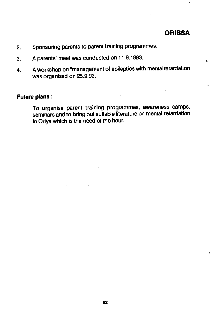$\mathbf{r}$ 

ś

- 2. Sponsoring parents to parent training programmes.
- 3. A parents' meet was conducted on 11.9.1993.
- 4. A workshop on "management of epileptics with mental retardation was organised on 25.9.93.

#### Future plans:

To organise parent training programmes, awareness camps, seminars and to bring out suitable literature on mental retardation in Oriya which is the need of the hour.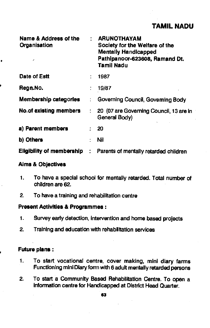## TAMIL NADU

| Name & Address of the<br>Organisation<br>, |                            | <b>ARUNOTHAYAM</b><br>Society for the Welfare of the<br><b>Mentally Handicapped</b><br>Pathipanoor-623608, Ramand Dt.<br><b>Tamil Nadu</b> |
|--------------------------------------------|----------------------------|--------------------------------------------------------------------------------------------------------------------------------------------|
| Date of Estt                               |                            | 1987                                                                                                                                       |
| Regn.No.                                   |                            | 19/87                                                                                                                                      |
| <b>Membership categories</b>               | ÷.                         | Governing Council, Governing Body                                                                                                          |
| <b>No.of existing members</b>              |                            | 20 (07 are Governing Council, 13 are in<br>General Body)                                                                                   |
| a) Parent members                          |                            | 20                                                                                                                                         |
| b) Others                                  |                            | Nil                                                                                                                                        |
| <b>Eligibility of membership</b>           | $\mathcal{L}^{\text{max}}$ | Parents of mentally retarded children                                                                                                      |

#### Aims & Objectives

- 1. To have a special school for mentally retarded. Total number of children are 62.
- 2. To have a training and rehabilitation centre

#### Present Activities & Programmes:

- 1. Survey early detection, Intervention and home based projects
- 2. Training and education with rehabilitation services

## Future plans:

- 1. To start vocational centre, cover making, mini diary farms Functioning mini Diary form with 6 adult mentally retarded persons
- 2. To start a Community Based Rehabilitation Centre. To open a information centre for Handicapped at District Head Quarter.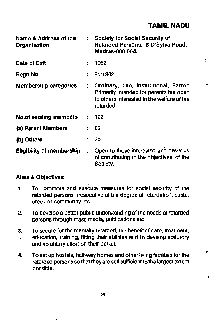| Name & Address of the<br>Organisation |                      | Society for Social Security of<br>Retarded Persons, 8 D'Sylva Road,<br>Madras-600 004.                                                      |   |
|---------------------------------------|----------------------|---------------------------------------------------------------------------------------------------------------------------------------------|---|
| Date of Estt                          |                      | 1982                                                                                                                                        | з |
| Regn.No.                              |                      | 91/1982                                                                                                                                     |   |
| Membership categories                 | $\ddot{\phantom{0}}$ | Ordinary, Life, Institutional, Patron<br>Primarily intended for parents but open<br>to others interested in the welfare of the<br>retarded. | Ł |
| No.of existing members                |                      | 102                                                                                                                                         |   |
| (a) Parent Members                    |                      | 82                                                                                                                                          |   |
| (b) Others                            |                      | 20                                                                                                                                          |   |
| <b>Eligibility of membership</b>      | ÷                    | Open to those interested and desirous<br>of contributing to the objectives of the<br>Society.                                               |   |

## Alms & Objectives

- 1. To promote and execute measures for social security of the retarded persons irrespective of the degree of retardation, caste, creed or community etc.
	- 2. To develop a better public understanding of the needs of retarded persons through mass media, publications etc.
	- 3. To secure for the mentally retarded, the benefit of care, treatment, education, training, fitting their abilities and to develop statutory and voluntary effort on their behalf.
	- 4. To set up hostels, half-way homes and other living facilities for the retarded persons so that they are self sufficient to the largest extent possible.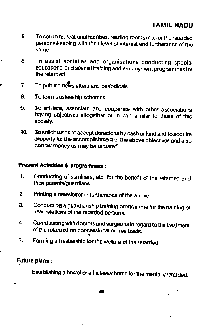## TAMIL NADU

- 5. To set up recreational facilities, reading rooms etc. for the retarded persons keeping with their level of interest and furtherance of the same.
- 6. To assist societies and organisatlons conducting special educational and special training and employment programmes for the retarded.
- 7. To publish new sletters and periodicals
- S. To form trusteeship schemes
- 9. To affiliate, associate and cooperate with other associations having objectives altogether or in part similar to those of this society.
- 10. To solicit funds to accept donations by cash or kind and to acquire<br>property for the accomplishment of the above objectives and also bormw money as may be required.

## Present Activities & programmes:

- 1. Conducting of seminars, etc. for the benefit of the retarded and their parents/guardians.
- 2. Printing a newsletter in furtherance of the above
- 3. Conducting a guardianship training programme for the training of near relations of the retarded persons.
- 4. Coordinating with doctors and surgeons in regard to the treatment of the retarded on concessional or free basis.
- 5. Forming a trusteeship for the welfare of the retarded.

## Future plans;

Establishing a hostel or a half-way home for the mentally retarded.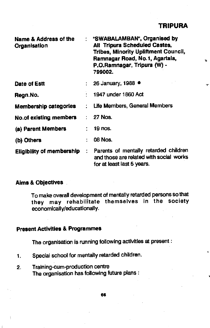| Name & Address of the<br>Organisation | ÷ | "SWABALAMBAN", Organised by<br>All Tripura Scheduled Castes,<br><b>Tribes, Minority Upliftment Council,</b><br>Ramnagar Road, No.1, Agartala,<br>P.O.Ramnagar, Tripura (W) -<br>799002. | 玉  |
|---------------------------------------|---|-----------------------------------------------------------------------------------------------------------------------------------------------------------------------------------------|----|
| Date of Estt                          |   | : 26 January, 1988 $\bullet$                                                                                                                                                            | ŦР |
| Regn.No.                              |   | 1947 under 1860 Act                                                                                                                                                                     |    |
| <b>Membership categories</b>          |   | : Life Members, General Members                                                                                                                                                         |    |
| No.of existing members                |   | : 27 Nos.                                                                                                                                                                               |    |
| (a) Parent Members                    |   | <b>19 nos.</b>                                                                                                                                                                          |    |
| (b) Others                            |   | 08 Nos.                                                                                                                                                                                 |    |
| <b>Eligibility of membership</b>      |   | : Parents of mentally retarded children<br>and those are related with social works<br>for at least last 5 years.                                                                        |    |

## Aims & Objectives

To make overall development of mentally retarded persons so that they may rehabilitate themselves In the society economically/educationally.

## Present Activities & Programmes

The organisation is running following activities at present:

- 1. Special school for mentally retarded children.
- 2. Training-cum-production centre The organisation has following future plans: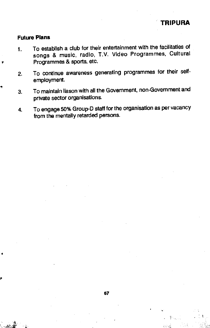#### Future Plans

- 1. To establish a club for their entertainment with the facilitaties of songs & music, radio, T.V. Video Programmes, Cultural Programmes & sports, etc.
- 2. To continue awareness generating programmes for their selfemployment.
- 3. To maintain liason with all the Government, non-Government and private sector organisations.
- 4. To engage 50% Group-D staff for the organisation as per vacancy from the mentally retarded persons.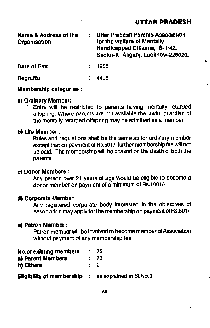## U1TAR PRADESH

S

ŧ

| <b>Name &amp; Address of the</b><br>Organisation |  | <b>Uttar Pradesh Parents Association</b><br>for the welfare of Mentally<br>Handicapped Citizens, B-1/42,<br>Sector-K, Aliganj, Lucknow-226020. |   |  |
|--------------------------------------------------|--|------------------------------------------------------------------------------------------------------------------------------------------------|---|--|
| Date of Estt                                     |  | 1988                                                                                                                                           | а |  |
| Regn.No.                                         |  | 4498                                                                                                                                           |   |  |

#### Membership categories;

a) Ordinary Member:<br>Entry will be restricted to parents having mentally retarded offspring. Where parents are not available the lawful guardian of the mentally retarded offspring may be admitted as a member.

#### b) Life Member:

Rules and regulations shall be the same as for ordinary member except that on payment of Rs.501/- further membership fee will not be paid. The membership will be ceased on the death of both the parents.

#### c) Donor Members:

Any person over 21 years of age would be eligible to become a donor member on payment of a minimum of Rs.1001/-.

#### d) Corporate Member:

Any registered corporate body interested in the objectives of Association may apply for the membership on payment of Rs.501/-

#### e) Patron Member:

Patron member will be involved to become member of Association without payment of any membership fee.

| <b>No.of existing members</b> |          | : 75 |  |
|-------------------------------|----------|------|--|
| a) Parent Members             |          | : 73 |  |
| b) Others                     | $\sim$ 2 |      |  |

**Eligibility of membership**  $\therefore$  **as explained in Sl.No.3.** 

68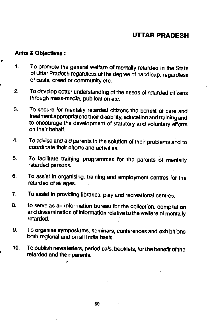## UTAR PRADESH

#### Aims & Objectives:

- 1. To promote the general welfare at mentally retarded in the State of Uttar Pradesh regardless of the degree of handicap, regardless of caste, creed or community etc.
- 2. To develop better understanding of the needs of retarded citizens through mass-media, publication etc.
- 3. To secure for mentally retarded citizens the benefit of care and treatment appropriate to their disability, education and training and to encourage the development of statutory and voluntary efforts on their behalf.
- 4. To advise and aid parents in the solution of their problems and to coordinate their efforts and activities.
- 5. To facilitate training programmes for the parents of mentally retarded persons.
- 6. To assist in organising, training and employment centres for the retarded of all ages.
- 7. To assist in providing libraries, play and recreational centres.
- 8. to serve as an Information bureau for the collection, compilation and dissemination of Information relative to the welfare of mentaily retarded.
- 9. To organise symposiums, seminars, conferences and exhibitions both regional and on all India basis.
- 10. To publish news ketters, periodicals, booklets, for the benefit of the retarded and their parents.

69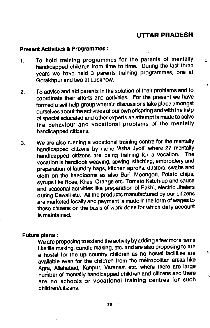## U1TAR PRADESH

Ł

#### Present Activities & Programmes:

- To hold training programmes for the parents of mentally  $\frac{1}{3}$  handicapped children from time to time. During the last three  $\mathbf{1}$ . years we have held 3 parents training programmes, one at Gorakhpur and two at Lucknow.
- 2. To advise and aid parents In the solution of their problems and to coordinate their efforts and activities. For the present we have formed a self-help group wherein discussions take place amongst ourselves about the activities of our own offspring and with the help of special educated and other experts an attempt is made to solve the behaviour and vocational problems of the mentally handicapped citizens.
- 3. We are also running a vocational training centre for the mentally handicapped citizens by name 'Asha Jyoti' where 27 mentally<br>bendlespped citizens are being training for a vocation. The handicapped citizens are being training for a vocation. vocation Is handlook weaving, sewing, stitching, embroidery and preparation of laundry bags, kitchen aprons, dusters, swabs and cloth on the handlooms as also Ban, Moongori, Potato chips, syrups like Rose, Khas, Orange etc. Tomato Ketch-upand sauce and seasonal activities like preparation of Rakhi, electric Jhalars during Dewali etc. All the products manufactured by our citizens are marketed locally and payment is made in the form of wages to these citizens on the basis of work done for which daily account Is maintained.

#### Future plans:

We are proposing to extend the activity by adding a few more items like file making, candle making, etc. and are also proposing to run<br>abilities are all the country of details and bootel facilities are a a hostel for the up country children as no hostel facilities are available even for the children from the metropolitan areas like Agra, Allahabad, Kanpur, Varanasi etc. where there are large number of mentally handicapped children and citizens and there are no schools or vocational training centres for such children/citizens.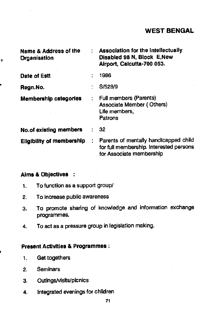| Name & Address of the<br>Organisation | <b>Association for the Intellectually</b><br>Disabled 98 N, Block E, New<br>Airport, Calcutta-700 053.       |
|---------------------------------------|--------------------------------------------------------------------------------------------------------------|
| Date of Estt                          | 1986                                                                                                         |
| Regn.No.                              | S/528/9                                                                                                      |
| <b>Membership categories</b>          | <b>Full members (Parents)</b><br>Associate Member (Others)<br>Life members,<br>Patrons                       |
| <b>No.of existing members</b>         | 32                                                                                                           |
| <b>Eligibility of membership</b>      | Parents of mentally handicapped child<br>for full membership. Interested persons<br>for Associate membership |
|                                       |                                                                                                              |

## Alms & Objectives

ż

- 1. To function as a support group/
- 2. To increase public awareness
- 3. To promote sharing of knowledge and information exchange programmes.
- 4. To act as a pressure group in legislation making.

## Present Activities & Programmes;

- 1. Get togethers
- 2. SemInars
- 3. OutIngs/visits/picnics
- 4. Integrated evenings for children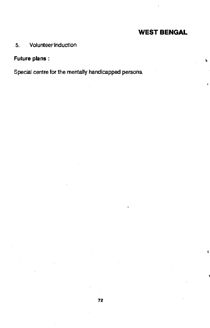$\overline{\mathbf{S}}$ 

Ł.

## 5. Volunteerinduction

## Future plans

Special centre for the mentally handicapped persons.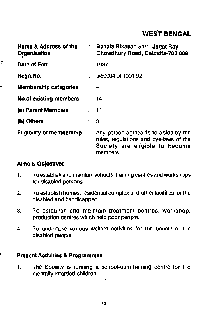| Name & Address of the<br>Organisation | ÷. | Behala Bikasan 51/1, Jagat Roy<br>Chowdhury Road, Calcutta-700 008.                                                          |
|---------------------------------------|----|------------------------------------------------------------------------------------------------------------------------------|
| Date of Estt                          |    | 1987                                                                                                                         |
| Regn.No.                              |    | s/69904 of 1991-92                                                                                                           |
| <b>Membership categories</b>          |    |                                                                                                                              |
| No.of existing members                |    | $\therefore$ 14                                                                                                              |
| (a) Parent Members                    |    | $\therefore$ 11                                                                                                              |
| (b) Others                            |    | : 3                                                                                                                          |
| <b>Eligibility of membership</b>      | ÷  | Any person agreeable to abide by the<br>rules, regulations and bye-laws of the<br>Society are eligible to become<br>members. |

## Aims & Objectives

ż

- 1. To establish and maintain schools, training centres and workshops for disabled persons.
- 2. To establish homes, residential complex and other facilities for the disabled and handicapped.
- 3. To establish and maintain treatment centres, workshop, production centres which help poor people.
- 4. To undertake various welfare activities for the benefit of the disabled people.

### Present Activities & Programmes

1. The Society is running a school-cum-training centre for the mentally retarded children.

73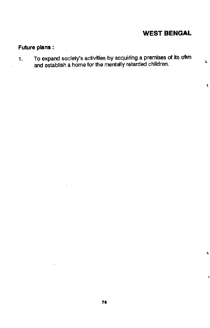$\pmb{\hat{y}}_i$ 

ś.

## Future plans:

1. To expand society's activities by acquiring a premises of its own and establish a home for the mentally retarded children.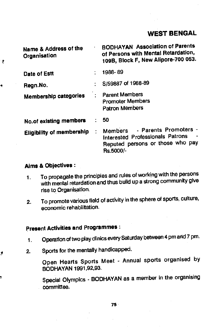Name & Address of the BODHAYAN Association of Parents Organisation of Persons with Mental Retardation, 1098, Block F, New Aiipore-700 053. Date of Estt 1988-89 Regn.No. 5/59887 of 1988-89 Membership categories : Parent Members Promoter Members Patron Members No.of existing members : 50 Eligibility of membership : Members - Parents Promoters interested Professionals Patrons - Reputed persons or those who pay Rs.5000/-

#### Aims & Objectives:

 $\bar{2}$ 

ł

- 1. To propagate the principles and rules of working with the persons with mental retardation and thus build up a strong community give rise to Organisation.
- 2. To promote various field of activity in the sphere of sports, culture, economic rehabilitation.

# Present Activities and Programmes:

- 1. Operation of two play clinics every Saturday between 4 pm and 7 pm.
- 2. Sports for the mentally handicapped.

Open Hearts Sports Meet - Annual sports organised by BODHAVAN 1991,92,93.

Special Olympics - BODHAVAN as a member In the organising committee.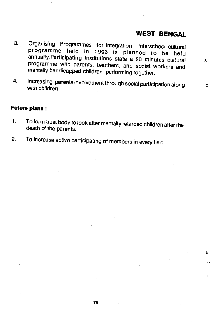$\bar{\mathbf{x}}$ 

t

- 3. Organising Programmes for integration Intersehool cultural programme held in 1993 is planned to be held annually.Participating Institutions state a 20 minutes cultural programme with parents, teachers, and social workers and mentally handicapped children, performing together.
- 4. Increasing parents involvement through social participation along  $\frac{1}{t}$

#### Future plans:

- 1. To form trust body to look after mentally retarded children after the death of the parents.
- 2. To increase active participating of members in every field.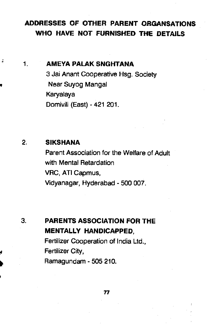# ADDRESSES OF OThER PARENT ORGANSATIONS WHO HAVE NOT FURNISHED THE DETAILS

 $\mathbf{1}$ .

J,

## AMEYA PALAKSNGHTANA

3 Jai Anant Cooperative Hsg. Society Near Suyog Mangal Karyalaya Domivili (East) -421 201.

# 2. SIKSHANA

Parent Association for the Welfare of Adult with Mental Retardation VRC, ATI Capmus, Vidyanagar, Hyderabad - 500 007.

# 3. PARENTS ASSOCIATION FOR THE MENTALLY HANDICAPPED,

Fertilizer Cooperation of India Ltd., Fertilizer City, Rarnagundam - 505 210.